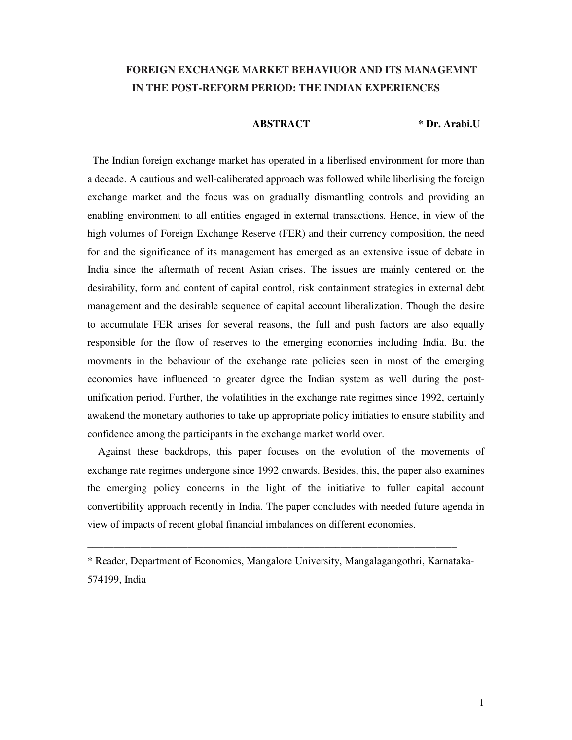# **FOREIGN EXCHANGE MARKET BEHAVIUOR AND ITS MANAGEMNT IN THE POST-REFORM PERIOD: THE INDIAN EXPERIENCES**

 **ABSTRACT \* Dr. Arabi.U** 

The Indian foreign exchange market has operated in a liberlised environment for more than a decade. A cautious and well-caliberated approach was followed while liberlising the foreign exchange market and the focus was on gradually dismantling controls and providing an enabling environment to all entities engaged in external transactions. Hence, in view of the high volumes of Foreign Exchange Reserve (FER) and their currency composition, the need for and the significance of its management has emerged as an extensive issue of debate in India since the aftermath of recent Asian crises. The issues are mainly centered on the desirability, form and content of capital control, risk containment strategies in external debt management and the desirable sequence of capital account liberalization. Though the desire to accumulate FER arises for several reasons, the full and push factors are also equally responsible for the flow of reserves to the emerging economies including India. But the movments in the behaviour of the exchange rate policies seen in most of the emerging economies have influenced to greater dgree the Indian system as well during the postunification period. Further, the volatilities in the exchange rate regimes since 1992, certainly awakend the monetary authories to take up appropriate policy initiaties to ensure stability and confidence among the participants in the exchange market world over.

 Against these backdrops, this paper focuses on the evolution of the movements of exchange rate regimes undergone since 1992 onwards. Besides, this, the paper also examines the emerging policy concerns in the light of the initiative to fuller capital account convertibility approach recently in India. The paper concludes with needed future agenda in view of impacts of recent global financial imbalances on different economies.

\_\_\_\_\_\_\_\_\_\_\_\_\_\_\_\_\_\_\_\_\_\_\_\_\_\_\_\_\_\_\_\_\_\_\_\_\_\_\_\_\_\_\_\_\_\_\_\_\_\_\_\_\_\_\_\_\_\_\_\_\_\_\_\_\_\_\_\_\_\_

<sup>\*</sup> Reader, Department of Economics, Mangalore University, Mangalagangothri, Karnataka-574199, India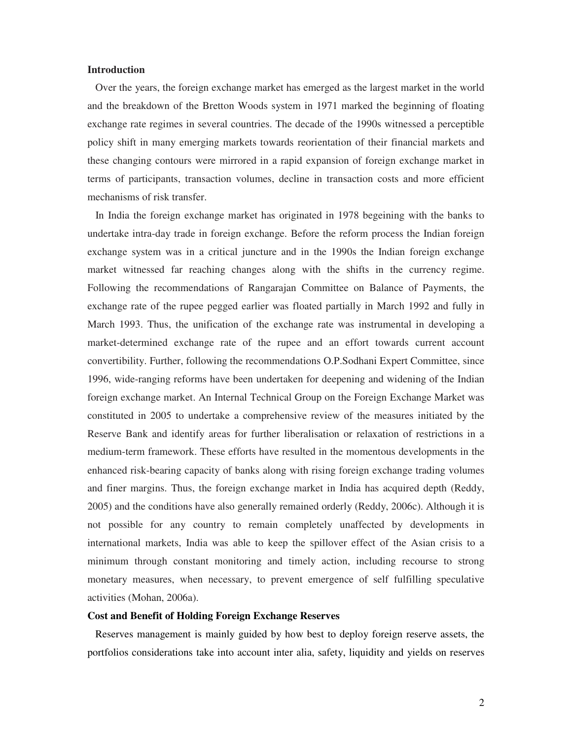#### **Introduction**

 Over the years, the foreign exchange market has emerged as the largest market in the world and the breakdown of the Bretton Woods system in 1971 marked the beginning of floating exchange rate regimes in several countries. The decade of the 1990s witnessed a perceptible policy shift in many emerging markets towards reorientation of their financial markets and these changing contours were mirrored in a rapid expansion of foreign exchange market in terms of participants, transaction volumes, decline in transaction costs and more efficient mechanisms of risk transfer.

 In India the foreign exchange market has originated in 1978 begeining with the banks to undertake intra-day trade in foreign exchange. Before the reform process the Indian foreign exchange system was in a critical juncture and in the 1990s the Indian foreign exchange market witnessed far reaching changes along with the shifts in the currency regime. Following the recommendations of Rangarajan Committee on Balance of Payments, the exchange rate of the rupee pegged earlier was floated partially in March 1992 and fully in March 1993. Thus, the unification of the exchange rate was instrumental in developing a market-determined exchange rate of the rupee and an effort towards current account convertibility. Further, following the recommendations O.P.Sodhani Expert Committee, since 1996, wide-ranging reforms have been undertaken for deepening and widening of the Indian foreign exchange market. An Internal Technical Group on the Foreign Exchange Market was constituted in 2005 to undertake a comprehensive review of the measures initiated by the Reserve Bank and identify areas for further liberalisation or relaxation of restrictions in a medium-term framework. These efforts have resulted in the momentous developments in the enhanced risk-bearing capacity of banks along with rising foreign exchange trading volumes and finer margins. Thus, the foreign exchange market in India has acquired depth (Reddy, 2005) and the conditions have also generally remained orderly (Reddy, 2006c). Although it is not possible for any country to remain completely unaffected by developments in international markets, India was able to keep the spillover effect of the Asian crisis to a minimum through constant monitoring and timely action, including recourse to strong monetary measures, when necessary, to prevent emergence of self fulfilling speculative activities (Mohan, 2006a).

#### **Cost and Benefit of Holding Foreign Exchange Reserves**

 Reserves management is mainly guided by how best to deploy foreign reserve assets, the portfolios considerations take into account inter alia, safety, liquidity and yields on reserves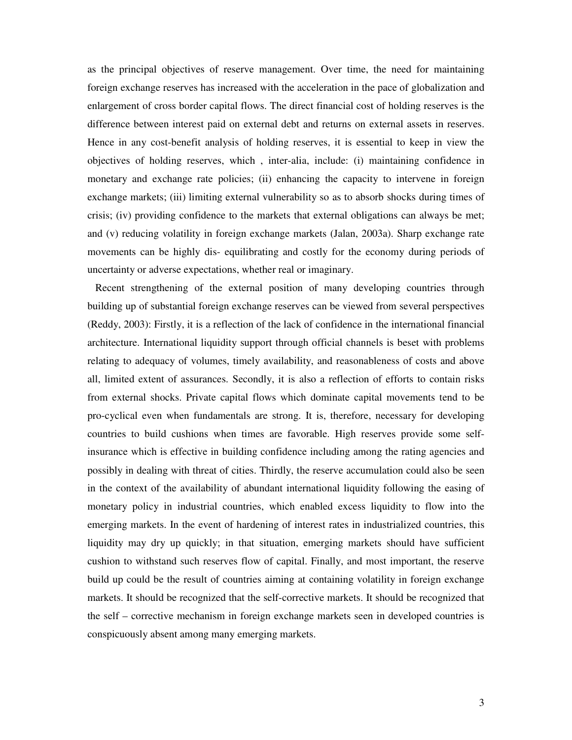as the principal objectives of reserve management. Over time, the need for maintaining foreign exchange reserves has increased with the acceleration in the pace of globalization and enlargement of cross border capital flows. The direct financial cost of holding reserves is the difference between interest paid on external debt and returns on external assets in reserves. Hence in any cost-benefit analysis of holding reserves, it is essential to keep in view the objectives of holding reserves, which , inter-alia, include: (i) maintaining confidence in monetary and exchange rate policies; (ii) enhancing the capacity to intervene in foreign exchange markets; (iii) limiting external vulnerability so as to absorb shocks during times of crisis; (iv) providing confidence to the markets that external obligations can always be met; and (v) reducing volatility in foreign exchange markets (Jalan, 2003a). Sharp exchange rate movements can be highly dis- equilibrating and costly for the economy during periods of uncertainty or adverse expectations, whether real or imaginary.

 Recent strengthening of the external position of many developing countries through building up of substantial foreign exchange reserves can be viewed from several perspectives (Reddy, 2003): Firstly, it is a reflection of the lack of confidence in the international financial architecture. International liquidity support through official channels is beset with problems relating to adequacy of volumes, timely availability, and reasonableness of costs and above all, limited extent of assurances. Secondly, it is also a reflection of efforts to contain risks from external shocks. Private capital flows which dominate capital movements tend to be pro-cyclical even when fundamentals are strong. It is, therefore, necessary for developing countries to build cushions when times are favorable. High reserves provide some selfinsurance which is effective in building confidence including among the rating agencies and possibly in dealing with threat of cities. Thirdly, the reserve accumulation could also be seen in the context of the availability of abundant international liquidity following the easing of monetary policy in industrial countries, which enabled excess liquidity to flow into the emerging markets. In the event of hardening of interest rates in industrialized countries, this liquidity may dry up quickly; in that situation, emerging markets should have sufficient cushion to withstand such reserves flow of capital. Finally, and most important, the reserve build up could be the result of countries aiming at containing volatility in foreign exchange markets. It should be recognized that the self-corrective markets. It should be recognized that the self – corrective mechanism in foreign exchange markets seen in developed countries is conspicuously absent among many emerging markets.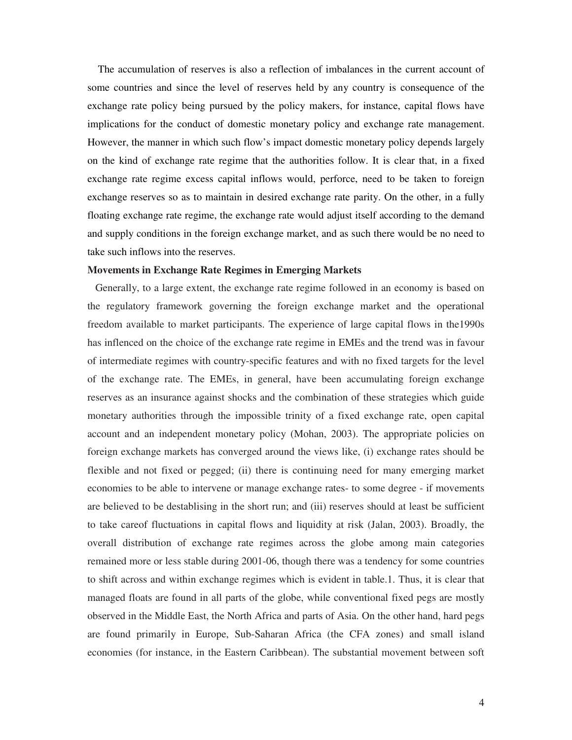The accumulation of reserves is also a reflection of imbalances in the current account of some countries and since the level of reserves held by any country is consequence of the exchange rate policy being pursued by the policy makers, for instance, capital flows have implications for the conduct of domestic monetary policy and exchange rate management. However, the manner in which such flow's impact domestic monetary policy depends largely on the kind of exchange rate regime that the authorities follow. It is clear that, in a fixed exchange rate regime excess capital inflows would, perforce, need to be taken to foreign exchange reserves so as to maintain in desired exchange rate parity. On the other, in a fully floating exchange rate regime, the exchange rate would adjust itself according to the demand and supply conditions in the foreign exchange market, and as such there would be no need to take such inflows into the reserves.

#### **Movements in Exchange Rate Regimes in Emerging Markets**

 Generally, to a large extent, the exchange rate regime followed in an economy is based on the regulatory framework governing the foreign exchange market and the operational freedom available to market participants. The experience of large capital flows in the1990s has inflenced on the choice of the exchange rate regime in EMEs and the trend was in favour of intermediate regimes with country-specific features and with no fixed targets for the level of the exchange rate. The EMEs, in general, have been accumulating foreign exchange reserves as an insurance against shocks and the combination of these strategies which guide monetary authorities through the impossible trinity of a fixed exchange rate, open capital account and an independent monetary policy (Mohan, 2003). The appropriate policies on foreign exchange markets has converged around the views like, (i) exchange rates should be flexible and not fixed or pegged; (ii) there is continuing need for many emerging market economies to be able to intervene or manage exchange rates- to some degree - if movements are believed to be destablising in the short run; and (iii) reserves should at least be sufficient to take careof fluctuations in capital flows and liquidity at risk (Jalan, 2003). Broadly, the overall distribution of exchange rate regimes across the globe among main categories remained more or less stable during 2001-06, though there was a tendency for some countries to shift across and within exchange regimes which is evident in table.1. Thus, it is clear that managed floats are found in all parts of the globe, while conventional fixed pegs are mostly observed in the Middle East, the North Africa and parts of Asia. On the other hand, hard pegs are found primarily in Europe, Sub-Saharan Africa (the CFA zones) and small island economies (for instance, in the Eastern Caribbean). The substantial movement between soft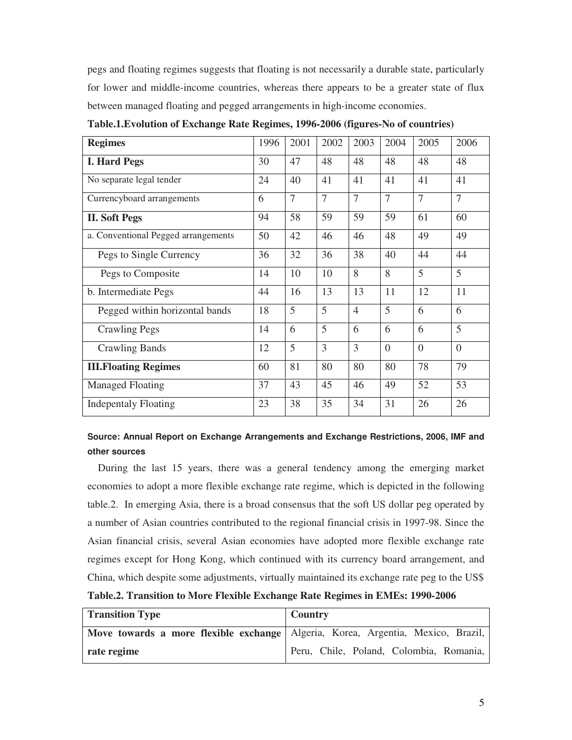pegs and floating regimes suggests that floating is not necessarily a durable state, particularly for lower and middle-income countries, whereas there appears to be a greater state of flux between managed floating and pegged arrangements in high-income economies.

| <b>Regimes</b>                      | 1996 | 2001 | 2002           | 2003           | 2004           | 2005           | 2006           |
|-------------------------------------|------|------|----------------|----------------|----------------|----------------|----------------|
| <b>I. Hard Pegs</b>                 | 30   | 47   | 48             | 48             | 48             | 48             | 48             |
| No separate legal tender            | 24   | 40   | 41             | 41             | 41             | 41             | 41             |
| Currencyboard arrangements          | 6    | 7    | $\overline{7}$ | 7              | $\overline{7}$ | 7              | $\tau$         |
| <b>II. Soft Pegs</b>                | 94   | 58   | 59             | 59             | 59             | 61             | 60             |
| a. Conventional Pegged arrangements | 50   | 42   | 46             | 46             | 48             | 49             | 49             |
| Pegs to Single Currency             | 36   | 32   | 36             | 38             | 40             | 44             | 44             |
| Pegs to Composite                   | 14   | 10   | 10             | 8              | 8              | 5              | 5              |
| b. Intermediate Pegs                | 44   | 16   | 13             | 13             | 11             | 12             | 11             |
| Pegged within horizontal bands      | 18   | 5    | 5              | $\overline{4}$ | 5              | 6              | 6              |
| <b>Crawling Pegs</b>                | 14   | 6    | 5              | 6              | 6              | 6              | 5              |
| <b>Crawling Bands</b>               | 12   | 5    | 3              | 3              | $\overline{0}$ | $\overline{0}$ | $\overline{0}$ |
| <b>III. Floating Regimes</b>        | 60   | 81   | 80             | 80             | 80             | 78             | 79             |
| <b>Managed Floating</b>             | 37   | 43   | 45             | 46             | 49             | 52             | 53             |
| <b>Indepentaly Floating</b>         | 23   | 38   | 35             | 34             | 31             | 26             | 26             |

**Table.1.Evolution of Exchange Rate Regimes, 1996-2006 (figures-No of countries)** 

## **Source: Annual Report on Exchange Arrangements and Exchange Restrictions, 2006, IMF and other sources**

 During the last 15 years, there was a general tendency among the emerging market economies to adopt a more flexible exchange rate regime, which is depicted in the following table.2. In emerging Asia, there is a broad consensus that the soft US dollar peg operated by a number of Asian countries contributed to the regional financial crisis in 1997-98. Since the Asian financial crisis, several Asian economies have adopted more flexible exchange rate regimes except for Hong Kong, which continued with its currency board arrangement, and China, which despite some adjustments, virtually maintained its exchange rate peg to the US\$ **Table.2. Transition to More Flexible Exchange Rate Regimes in EMEs: 1990-2006** 

| <b>Transition Type</b> | <b>Country</b>                                                                  |
|------------------------|---------------------------------------------------------------------------------|
|                        | Move towards a more flexible exchange Algeria, Korea, Argentia, Mexico, Brazil, |
| rate regime            | Peru, Chile, Poland, Colombia, Romania,                                         |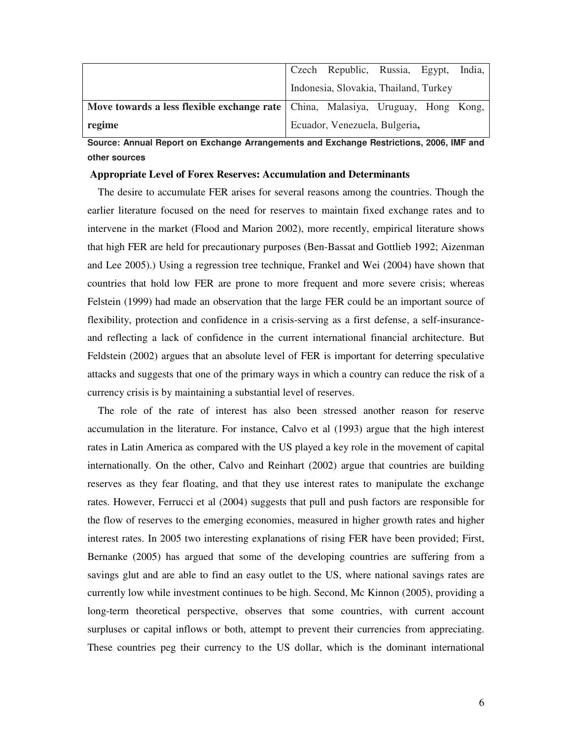|                                                                                   | Czech Republic, Russia, Egypt, India, |  |  |
|-----------------------------------------------------------------------------------|---------------------------------------|--|--|
|                                                                                   | Indonesia, Slovakia, Thailand, Turkey |  |  |
| Move towards a less flexible exchange rate   China, Malasiya, Uruguay, Hong Kong, |                                       |  |  |
| regime                                                                            | Ecuador, Venezuela, Bulgeria,         |  |  |

**Source: Annual Report on Exchange Arrangements and Exchange Restrictions, 2006, IMF and other sources** 

#### **Appropriate Level of Forex Reserves: Accumulation and Determinants**

 The desire to accumulate FER arises for several reasons among the countries. Though the earlier literature focused on the need for reserves to maintain fixed exchange rates and to intervene in the market (Flood and Marion 2002), more recently, empirical literature shows that high FER are held for precautionary purposes (Ben-Bassat and Gottlieb 1992; Aizenman and Lee 2005).) Using a regression tree technique, Frankel and Wei (2004) have shown that countries that hold low FER are prone to more frequent and more severe crisis; whereas Felstein (1999) had made an observation that the large FER could be an important source of flexibility, protection and confidence in a crisis-serving as a first defense, a self-insuranceand reflecting a lack of confidence in the current international financial architecture. But Feldstein (2002) argues that an absolute level of FER is important for deterring speculative attacks and suggests that one of the primary ways in which a country can reduce the risk of a currency crisis is by maintaining a substantial level of reserves.

 The role of the rate of interest has also been stressed another reason for reserve accumulation in the literature. For instance, Calvo et al (1993) argue that the high interest rates in Latin America as compared with the US played a key role in the movement of capital internationally. On the other, Calvo and Reinhart (2002) argue that countries are building reserves as they fear floating, and that they use interest rates to manipulate the exchange rates. However, Ferrucci et al (2004) suggests that pull and push factors are responsible for the flow of reserves to the emerging economies, measured in higher growth rates and higher interest rates. In 2005 two interesting explanations of rising FER have been provided; First, Bernanke (2005) has argued that some of the developing countries are suffering from a savings glut and are able to find an easy outlet to the US, where national savings rates are currently low while investment continues to be high. Second, Mc Kinnon (2005), providing a long-term theoretical perspective, observes that some countries, with current account surpluses or capital inflows or both, attempt to prevent their currencies from appreciating. These countries peg their currency to the US dollar, which is the dominant international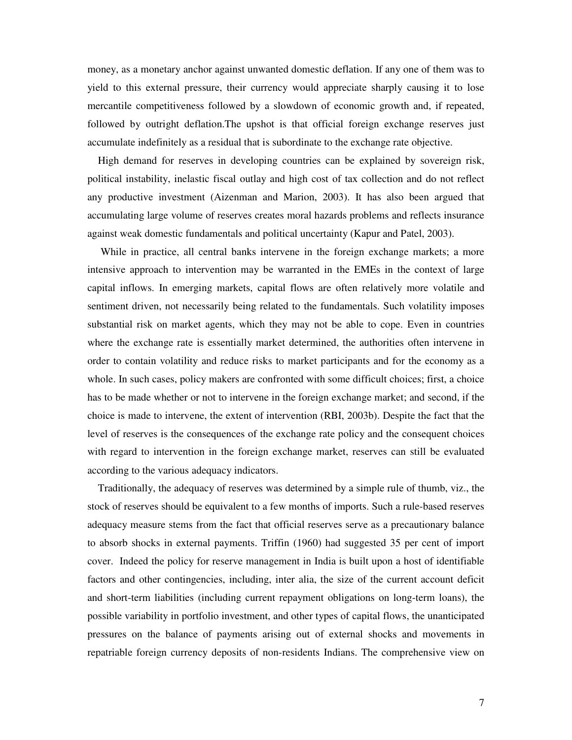money, as a monetary anchor against unwanted domestic deflation. If any one of them was to yield to this external pressure, their currency would appreciate sharply causing it to lose mercantile competitiveness followed by a slowdown of economic growth and, if repeated, followed by outright deflation.The upshot is that official foreign exchange reserves just accumulate indefinitely as a residual that is subordinate to the exchange rate objective.

 High demand for reserves in developing countries can be explained by sovereign risk, political instability, inelastic fiscal outlay and high cost of tax collection and do not reflect any productive investment (Aizenman and Marion, 2003). It has also been argued that accumulating large volume of reserves creates moral hazards problems and reflects insurance against weak domestic fundamentals and political uncertainty (Kapur and Patel, 2003).

 While in practice, all central banks intervene in the foreign exchange markets; a more intensive approach to intervention may be warranted in the EMEs in the context of large capital inflows. In emerging markets, capital flows are often relatively more volatile and sentiment driven, not necessarily being related to the fundamentals. Such volatility imposes substantial risk on market agents, which they may not be able to cope. Even in countries where the exchange rate is essentially market determined, the authorities often intervene in order to contain volatility and reduce risks to market participants and for the economy as a whole. In such cases, policy makers are confronted with some difficult choices; first, a choice has to be made whether or not to intervene in the foreign exchange market; and second, if the choice is made to intervene, the extent of intervention (RBI, 2003b). Despite the fact that the level of reserves is the consequences of the exchange rate policy and the consequent choices with regard to intervention in the foreign exchange market, reserves can still be evaluated according to the various adequacy indicators.

 Traditionally, the adequacy of reserves was determined by a simple rule of thumb, viz., the stock of reserves should be equivalent to a few months of imports. Such a rule-based reserves adequacy measure stems from the fact that official reserves serve as a precautionary balance to absorb shocks in external payments. Triffin (1960) had suggested 35 per cent of import cover. Indeed the policy for reserve management in India is built upon a host of identifiable factors and other contingencies, including, inter alia, the size of the current account deficit and short-term liabilities (including current repayment obligations on long-term loans), the possible variability in portfolio investment, and other types of capital flows, the unanticipated pressures on the balance of payments arising out of external shocks and movements in repatriable foreign currency deposits of non-residents Indians. The comprehensive view on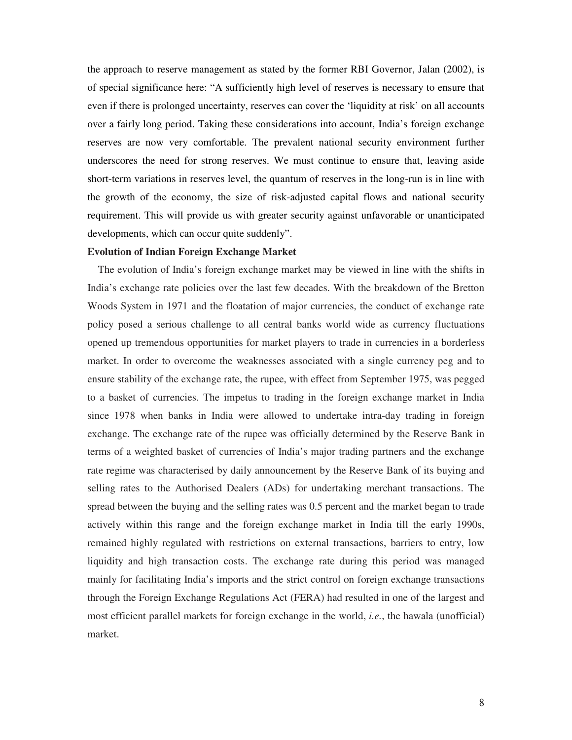the approach to reserve management as stated by the former RBI Governor, Jalan (2002), is of special significance here: "A sufficiently high level of reserves is necessary to ensure that even if there is prolonged uncertainty, reserves can cover the 'liquidity at risk' on all accounts over a fairly long period. Taking these considerations into account, India's foreign exchange reserves are now very comfortable. The prevalent national security environment further underscores the need for strong reserves. We must continue to ensure that, leaving aside short-term variations in reserves level, the quantum of reserves in the long-run is in line with the growth of the economy, the size of risk-adjusted capital flows and national security requirement. This will provide us with greater security against unfavorable or unanticipated developments, which can occur quite suddenly".

#### **Evolution of Indian Foreign Exchange Market**

 The evolution of India's foreign exchange market may be viewed in line with the shifts in India's exchange rate policies over the last few decades. With the breakdown of the Bretton Woods System in 1971 and the floatation of major currencies, the conduct of exchange rate policy posed a serious challenge to all central banks world wide as currency fluctuations opened up tremendous opportunities for market players to trade in currencies in a borderless market. In order to overcome the weaknesses associated with a single currency peg and to ensure stability of the exchange rate, the rupee, with effect from September 1975, was pegged to a basket of currencies. The impetus to trading in the foreign exchange market in India since 1978 when banks in India were allowed to undertake intra-day trading in foreign exchange. The exchange rate of the rupee was officially determined by the Reserve Bank in terms of a weighted basket of currencies of India's major trading partners and the exchange rate regime was characterised by daily announcement by the Reserve Bank of its buying and selling rates to the Authorised Dealers (ADs) for undertaking merchant transactions. The spread between the buying and the selling rates was 0.5 percent and the market began to trade actively within this range and the foreign exchange market in India till the early 1990s, remained highly regulated with restrictions on external transactions, barriers to entry, low liquidity and high transaction costs. The exchange rate during this period was managed mainly for facilitating India's imports and the strict control on foreign exchange transactions through the Foreign Exchange Regulations Act (FERA) had resulted in one of the largest and most efficient parallel markets for foreign exchange in the world, *i.e.*, the hawala (unofficial) market.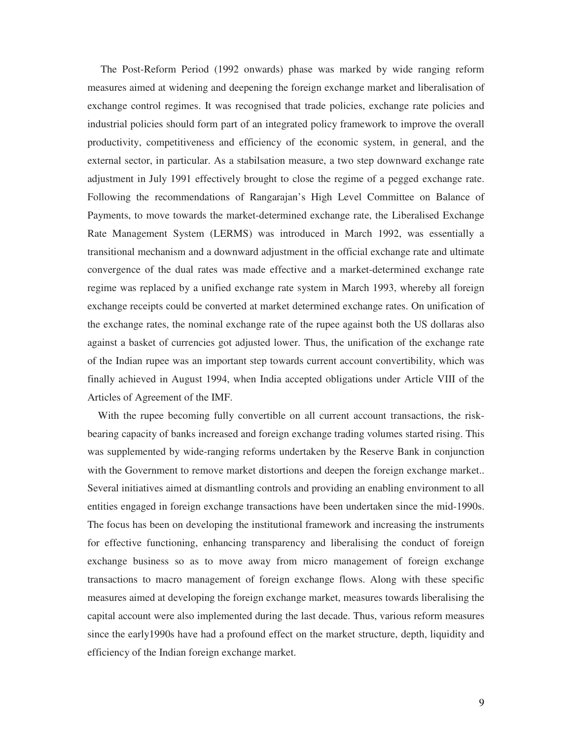The Post-Reform Period (1992 onwards) phase was marked by wide ranging reform measures aimed at widening and deepening the foreign exchange market and liberalisation of exchange control regimes. It was recognised that trade policies, exchange rate policies and industrial policies should form part of an integrated policy framework to improve the overall productivity, competitiveness and efficiency of the economic system, in general, and the external sector, in particular. As a stabilsation measure, a two step downward exchange rate adjustment in July 1991 effectively brought to close the regime of a pegged exchange rate. Following the recommendations of Rangarajan's High Level Committee on Balance of Payments, to move towards the market-determined exchange rate, the Liberalised Exchange Rate Management System (LERMS) was introduced in March 1992, was essentially a transitional mechanism and a downward adjustment in the official exchange rate and ultimate convergence of the dual rates was made effective and a market-determined exchange rate regime was replaced by a unified exchange rate system in March 1993, whereby all foreign exchange receipts could be converted at market determined exchange rates. On unification of the exchange rates, the nominal exchange rate of the rupee against both the US dollaras also against a basket of currencies got adjusted lower. Thus, the unification of the exchange rate of the Indian rupee was an important step towards current account convertibility, which was finally achieved in August 1994, when India accepted obligations under Article VIII of the Articles of Agreement of the IMF.

 With the rupee becoming fully convertible on all current account transactions, the riskbearing capacity of banks increased and foreign exchange trading volumes started rising. This was supplemented by wide-ranging reforms undertaken by the Reserve Bank in conjunction with the Government to remove market distortions and deepen the foreign exchange market.. Several initiatives aimed at dismantling controls and providing an enabling environment to all entities engaged in foreign exchange transactions have been undertaken since the mid-1990s. The focus has been on developing the institutional framework and increasing the instruments for effective functioning, enhancing transparency and liberalising the conduct of foreign exchange business so as to move away from micro management of foreign exchange transactions to macro management of foreign exchange flows. Along with these specific measures aimed at developing the foreign exchange market, measures towards liberalising the capital account were also implemented during the last decade. Thus, various reform measures since the early1990s have had a profound effect on the market structure, depth, liquidity and efficiency of the Indian foreign exchange market.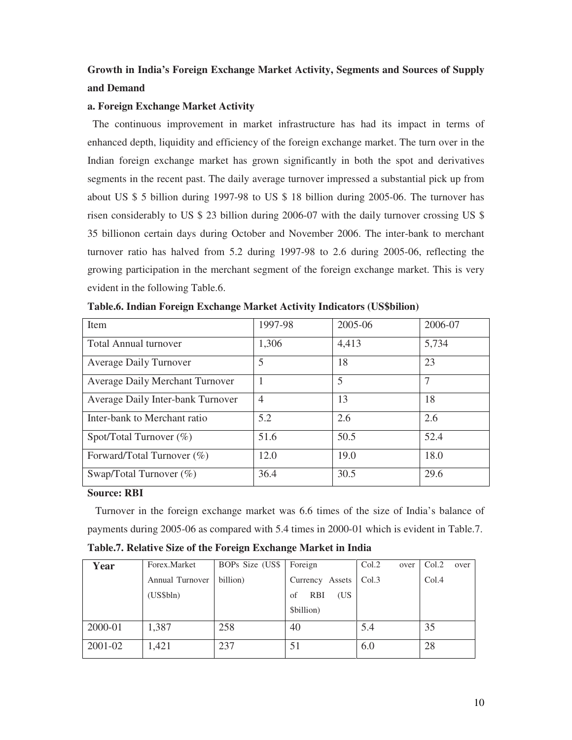# **Growth in India's Foreign Exchange Market Activity, Segments and Sources of Supply and Demand**

#### **a. Foreign Exchange Market Activity**

 The continuous improvement in market infrastructure has had its impact in terms of enhanced depth, liquidity and efficiency of the foreign exchange market. The turn over in the Indian foreign exchange market has grown significantly in both the spot and derivatives segments in the recent past. The daily average turnover impressed a substantial pick up from about US \$ 5 billion during 1997-98 to US \$ 18 billion during 2005-06. The turnover has risen considerably to US \$ 23 billion during 2006-07 with the daily turnover crossing US \$ 35 billionon certain days during October and November 2006. The inter-bank to merchant turnover ratio has halved from 5.2 during 1997-98 to 2.6 during 2005-06, reflecting the growing participation in the merchant segment of the foreign exchange market. This is very evident in the following Table.6.

| Item                                   | 1997-98        | 2005-06 | 2006-07 |
|----------------------------------------|----------------|---------|---------|
| Total Annual turnover                  | 1,306          | 4,413   | 5,734   |
| <b>Average Daily Turnover</b>          | 5              | 18      | 23      |
| <b>Average Daily Merchant Turnover</b> |                | 5       | 7       |
| Average Daily Inter-bank Turnover      | $\overline{4}$ | 13      | 18      |
| Inter-bank to Merchant ratio           | 5.2            | 2.6     | 2.6     |
| Spot/Total Turnover $(\%)$             | 51.6           | 50.5    | 52.4    |
| Forward/Total Turnover $(\%)$          | 12.0           | 19.0    | 18.0    |
| Swap/Total Turnover $(\%)$             | 36.4           | 30.5    | 29.6    |

**Table.6. Indian Foreign Exchange Market Activity Indicators (US\$bilion)** 

### **Source: RBI**

 Turnover in the foreign exchange market was 6.6 times of the size of India's balance of payments during 2005-06 as compared with 5.4 times in 2000-01 which is evident in Table.7. **Table.7. Relative Size of the Foreign Exchange Market in India** 

| Year    | Forex.Market    | BOPs Size (US\$ | Foreign                 | Col.2<br>over | Col.2<br>over |
|---------|-----------------|-----------------|-------------------------|---------------|---------------|
|         | Annual Turnover | billion)        | Currency Assets         | Col.3         | Col.4         |
|         | (US\$bln)       |                 | (US<br><b>RBI</b><br>of |               |               |
|         |                 |                 | \$billion)              |               |               |
| 2000-01 | 1,387           | 258             | 40                      | 5.4           | 35            |
| 2001-02 | 1,421           | 237             | 51                      | 6.0           | 28            |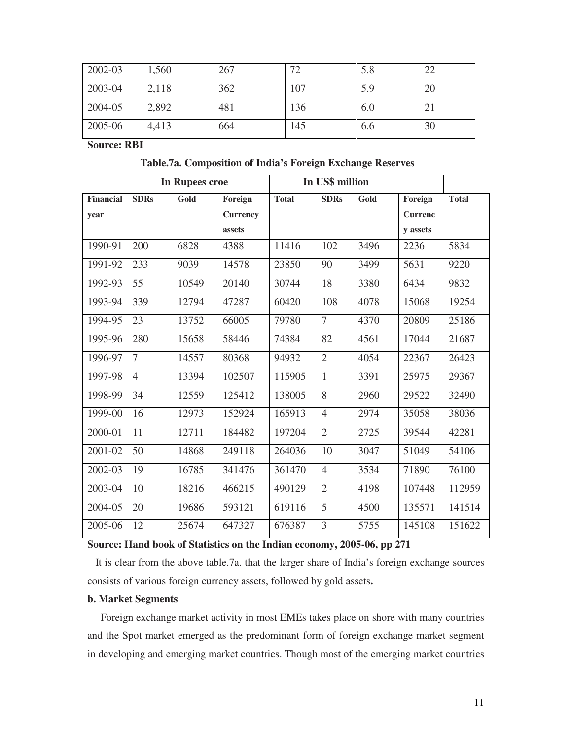| 2002-03 | 1,560 | 267 | 72  | 5.8 | 22 |
|---------|-------|-----|-----|-----|----|
| 2003-04 | 2,118 | 362 | 107 | 5.9 | 20 |
| 2004-05 | 2,892 | 481 | 136 | 6.0 | 21 |
| 2005-06 | 4,413 | 664 | 145 | 6.6 | 30 |

**Source: RBI** 

 **Table.7a. Composition of India's Foreign Exchange Reserves** 

|           |                | In Rupees croe | In US\$ million |              |                |      |                |              |
|-----------|----------------|----------------|-----------------|--------------|----------------|------|----------------|--------------|
| Financial | <b>SDRs</b>    | Gold           | Foreign         | <b>Total</b> | <b>SDRs</b>    | Gold | Foreign        | <b>Total</b> |
| year      |                |                | <b>Currency</b> |              |                |      | <b>Currenc</b> |              |
|           |                |                | assets          |              |                |      | y assets       |              |
| 1990-91   | 200            | 6828           | 4388            | 11416        | 102            | 3496 | 2236           | 5834         |
| 1991-92   | 233            | 9039           | 14578           | 23850        | 90             | 3499 | 5631           | 9220         |
| 1992-93   | 55             | 10549          | 20140           | 30744        | 18             | 3380 | 6434           | 9832         |
| 1993-94   | 339            | 12794          | 47287           | 60420        | 108            | 4078 | 15068          | 19254        |
| 1994-95   | 23             | 13752          | 66005           | 79780        | $\overline{7}$ | 4370 | 20809          | 25186        |
| 1995-96   | 280            | 15658          | 58446           | 74384        | 82             | 4561 | 17044          | 21687        |
| 1996-97   | $\overline{7}$ | 14557          | 80368           | 94932        | $\overline{2}$ | 4054 | 22367          | 26423        |
| 1997-98   | $\overline{4}$ | 13394          | 102507          | 115905       | 1              | 3391 | 25975          | 29367        |
| 1998-99   | 34             | 12559          | 125412          | 138005       | 8              | 2960 | 29522          | 32490        |
| 1999-00   | 16             | 12973          | 152924          | 165913       | $\overline{4}$ | 2974 | 35058          | 38036        |
| 2000-01   | 11             | 12711          | 184482          | 197204       | $\overline{2}$ | 2725 | 39544          | 42281        |
| 2001-02   | 50             | 14868          | 249118          | 264036       | 10             | 3047 | 51049          | 54106        |
| 2002-03   | 19             | 16785          | 341476          | 361470       | $\overline{4}$ | 3534 | 71890          | 76100        |
| 2003-04   | 10             | 18216          | 466215          | 490129       | $\overline{2}$ | 4198 | 107448         | 112959       |
| 2004-05   | 20             | 19686          | 593121          | 619116       | 5              | 4500 | 135571         | 141514       |
| 2005-06   | 12             | 25674          | 647327          | 676387       | 3              | 5755 | 145108         | 151622       |

**Source: Hand book of Statistics on the Indian economy, 2005-06, pp 271** 

 It is clear from the above table.7a. that the larger share of India's foreign exchange sources consists of various foreign currency assets, followed by gold assets**.** 

#### **b. Market Segments**

 Foreign exchange market activity in most EMEs takes place on shore with many countries and the Spot market emerged as the predominant form of foreign exchange market segment in developing and emerging market countries. Though most of the emerging market countries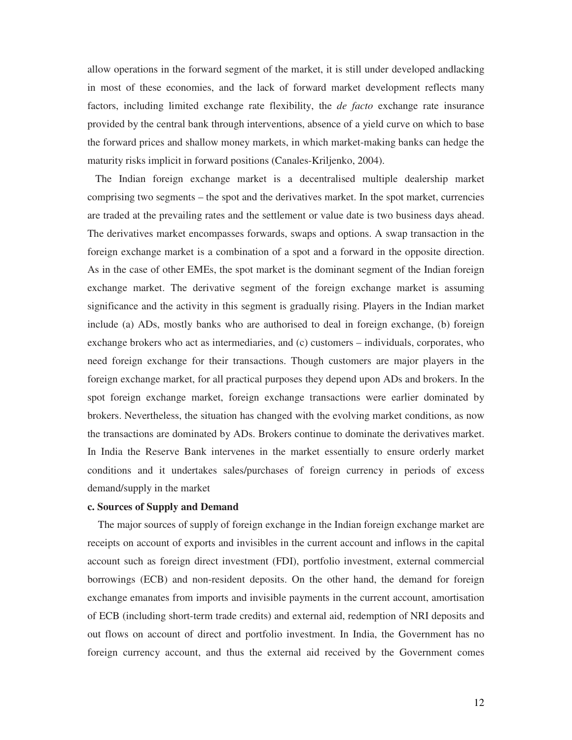allow operations in the forward segment of the market, it is still under developed andlacking in most of these economies, and the lack of forward market development reflects many factors, including limited exchange rate flexibility, the *de facto* exchange rate insurance provided by the central bank through interventions, absence of a yield curve on which to base the forward prices and shallow money markets, in which market-making banks can hedge the maturity risks implicit in forward positions (Canales-Kriljenko, 2004).

 The Indian foreign exchange market is a decentralised multiple dealership market comprising two segments – the spot and the derivatives market. In the spot market, currencies are traded at the prevailing rates and the settlement or value date is two business days ahead. The derivatives market encompasses forwards, swaps and options. A swap transaction in the foreign exchange market is a combination of a spot and a forward in the opposite direction. As in the case of other EMEs, the spot market is the dominant segment of the Indian foreign exchange market. The derivative segment of the foreign exchange market is assuming significance and the activity in this segment is gradually rising. Players in the Indian market include (a) ADs, mostly banks who are authorised to deal in foreign exchange, (b) foreign exchange brokers who act as intermediaries, and (c) customers – individuals, corporates, who need foreign exchange for their transactions. Though customers are major players in the foreign exchange market, for all practical purposes they depend upon ADs and brokers. In the spot foreign exchange market, foreign exchange transactions were earlier dominated by brokers. Nevertheless, the situation has changed with the evolving market conditions, as now the transactions are dominated by ADs. Brokers continue to dominate the derivatives market. In India the Reserve Bank intervenes in the market essentially to ensure orderly market conditions and it undertakes sales/purchases of foreign currency in periods of excess demand/supply in the market

#### **c. Sources of Supply and Demand**

 The major sources of supply of foreign exchange in the Indian foreign exchange market are receipts on account of exports and invisibles in the current account and inflows in the capital account such as foreign direct investment (FDI), portfolio investment, external commercial borrowings (ECB) and non-resident deposits. On the other hand, the demand for foreign exchange emanates from imports and invisible payments in the current account, amortisation of ECB (including short-term trade credits) and external aid, redemption of NRI deposits and out flows on account of direct and portfolio investment. In India, the Government has no foreign currency account, and thus the external aid received by the Government comes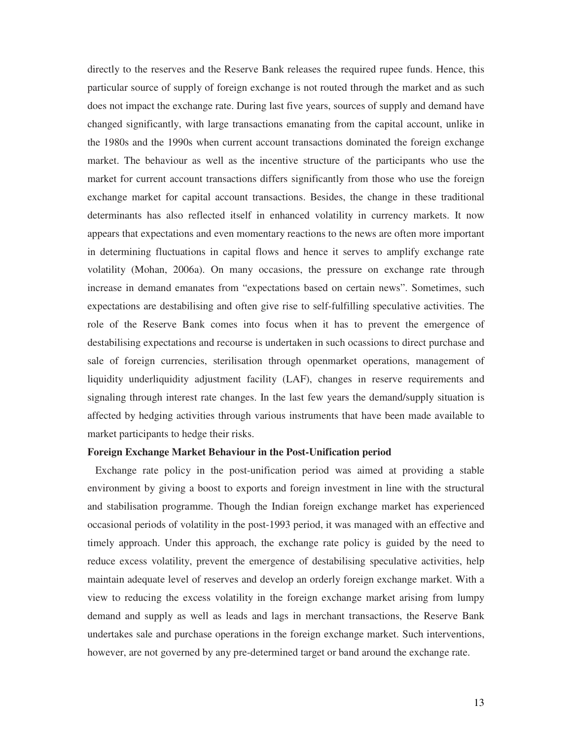directly to the reserves and the Reserve Bank releases the required rupee funds. Hence, this particular source of supply of foreign exchange is not routed through the market and as such does not impact the exchange rate. During last five years, sources of supply and demand have changed significantly, with large transactions emanating from the capital account, unlike in the 1980s and the 1990s when current account transactions dominated the foreign exchange market. The behaviour as well as the incentive structure of the participants who use the market for current account transactions differs significantly from those who use the foreign exchange market for capital account transactions. Besides, the change in these traditional determinants has also reflected itself in enhanced volatility in currency markets. It now appears that expectations and even momentary reactions to the news are often more important in determining fluctuations in capital flows and hence it serves to amplify exchange rate volatility (Mohan, 2006a). On many occasions, the pressure on exchange rate through increase in demand emanates from "expectations based on certain news". Sometimes, such expectations are destabilising and often give rise to self-fulfilling speculative activities. The role of the Reserve Bank comes into focus when it has to prevent the emergence of destabilising expectations and recourse is undertaken in such ocassions to direct purchase and sale of foreign currencies, sterilisation through openmarket operations, management of liquidity underliquidity adjustment facility (LAF), changes in reserve requirements and signaling through interest rate changes. In the last few years the demand/supply situation is affected by hedging activities through various instruments that have been made available to market participants to hedge their risks.

#### **Foreign Exchange Market Behaviour in the Post-Unification period**

 Exchange rate policy in the post-unification period was aimed at providing a stable environment by giving a boost to exports and foreign investment in line with the structural and stabilisation programme. Though the Indian foreign exchange market has experienced occasional periods of volatility in the post-1993 period, it was managed with an effective and timely approach. Under this approach, the exchange rate policy is guided by the need to reduce excess volatility, prevent the emergence of destabilising speculative activities, help maintain adequate level of reserves and develop an orderly foreign exchange market. With a view to reducing the excess volatility in the foreign exchange market arising from lumpy demand and supply as well as leads and lags in merchant transactions, the Reserve Bank undertakes sale and purchase operations in the foreign exchange market. Such interventions, however, are not governed by any pre-determined target or band around the exchange rate.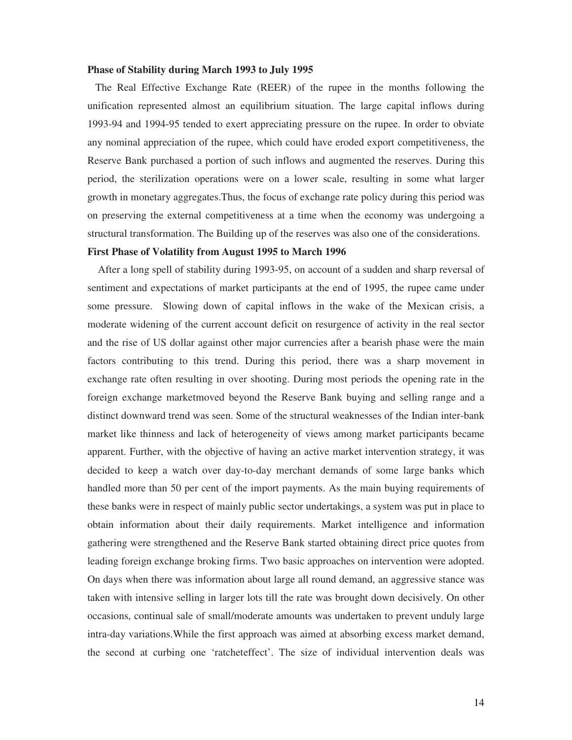#### **Phase of Stability during March 1993 to July 1995**

 The Real Effective Exchange Rate (REER) of the rupee in the months following the unification represented almost an equilibrium situation. The large capital inflows during 1993-94 and 1994-95 tended to exert appreciating pressure on the rupee. In order to obviate any nominal appreciation of the rupee, which could have eroded export competitiveness, the Reserve Bank purchased a portion of such inflows and augmented the reserves. During this period, the sterilization operations were on a lower scale, resulting in some what larger growth in monetary aggregates.Thus, the focus of exchange rate policy during this period was on preserving the external competitiveness at a time when the economy was undergoing a structural transformation. The Building up of the reserves was also one of the considerations.

#### **First Phase of Volatility from August 1995 to March 1996**

 After a long spell of stability during 1993-95, on account of a sudden and sharp reversal of sentiment and expectations of market participants at the end of 1995, the rupee came under some pressure. Slowing down of capital inflows in the wake of the Mexican crisis, a moderate widening of the current account deficit on resurgence of activity in the real sector and the rise of US dollar against other major currencies after a bearish phase were the main factors contributing to this trend. During this period, there was a sharp movement in exchange rate often resulting in over shooting. During most periods the opening rate in the foreign exchange marketmoved beyond the Reserve Bank buying and selling range and a distinct downward trend was seen. Some of the structural weaknesses of the Indian inter-bank market like thinness and lack of heterogeneity of views among market participants became apparent. Further, with the objective of having an active market intervention strategy, it was decided to keep a watch over day-to-day merchant demands of some large banks which handled more than 50 per cent of the import payments. As the main buying requirements of these banks were in respect of mainly public sector undertakings, a system was put in place to obtain information about their daily requirements. Market intelligence and information gathering were strengthened and the Reserve Bank started obtaining direct price quotes from leading foreign exchange broking firms. Two basic approaches on intervention were adopted. On days when there was information about large all round demand, an aggressive stance was taken with intensive selling in larger lots till the rate was brought down decisively. On other occasions, continual sale of small/moderate amounts was undertaken to prevent unduly large intra-day variations.While the first approach was aimed at absorbing excess market demand, the second at curbing one 'ratcheteffect'. The size of individual intervention deals was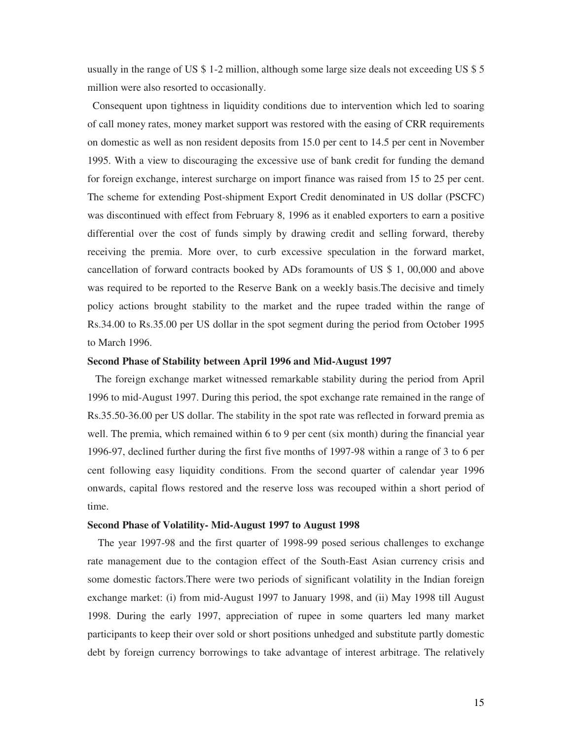usually in the range of US \$ 1-2 million, although some large size deals not exceeding US \$ 5 million were also resorted to occasionally.

 Consequent upon tightness in liquidity conditions due to intervention which led to soaring of call money rates, money market support was restored with the easing of CRR requirements on domestic as well as non resident deposits from 15.0 per cent to 14.5 per cent in November 1995. With a view to discouraging the excessive use of bank credit for funding the demand for foreign exchange, interest surcharge on import finance was raised from 15 to 25 per cent. The scheme for extending Post-shipment Export Credit denominated in US dollar (PSCFC) was discontinued with effect from February 8, 1996 as it enabled exporters to earn a positive differential over the cost of funds simply by drawing credit and selling forward, thereby receiving the premia. More over, to curb excessive speculation in the forward market, cancellation of forward contracts booked by ADs foramounts of US \$ 1, 00,000 and above was required to be reported to the Reserve Bank on a weekly basis.The decisive and timely policy actions brought stability to the market and the rupee traded within the range of Rs.34.00 to Rs.35.00 per US dollar in the spot segment during the period from October 1995 to March 1996.

#### **Second Phase of Stability between April 1996 and Mid-August 1997**

 The foreign exchange market witnessed remarkable stability during the period from April 1996 to mid-August 1997. During this period, the spot exchange rate remained in the range of Rs.35.50-36.00 per US dollar. The stability in the spot rate was reflected in forward premia as well. The premia, which remained within 6 to 9 per cent (six month) during the financial year 1996-97, declined further during the first five months of 1997-98 within a range of 3 to 6 per cent following easy liquidity conditions. From the second quarter of calendar year 1996 onwards, capital flows restored and the reserve loss was recouped within a short period of time.

#### **Second Phase of Volatility- Mid-August 1997 to August 1998**

 The year 1997-98 and the first quarter of 1998-99 posed serious challenges to exchange rate management due to the contagion effect of the South-East Asian currency crisis and some domestic factors.There were two periods of significant volatility in the Indian foreign exchange market: (i) from mid-August 1997 to January 1998, and (ii) May 1998 till August 1998. During the early 1997, appreciation of rupee in some quarters led many market participants to keep their over sold or short positions unhedged and substitute partly domestic debt by foreign currency borrowings to take advantage of interest arbitrage. The relatively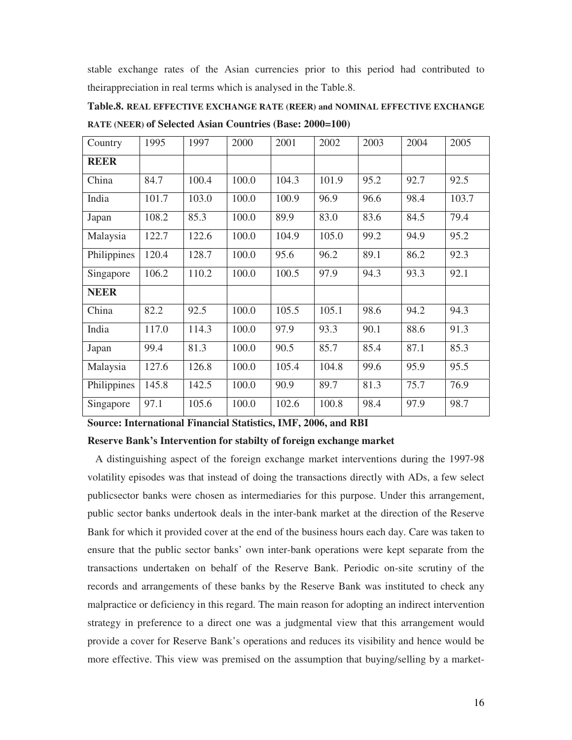stable exchange rates of the Asian currencies prior to this period had contributed to theirappreciation in real terms which is analysed in the Table.8.

| Country     | 1995  | 1997  | 2000  | 2001  | 2002  | 2003 | 2004 | 2005  |
|-------------|-------|-------|-------|-------|-------|------|------|-------|
| <b>REER</b> |       |       |       |       |       |      |      |       |
| China       | 84.7  | 100.4 | 100.0 | 104.3 | 101.9 | 95.2 | 92.7 | 92.5  |
| India       | 101.7 | 103.0 | 100.0 | 100.9 | 96.9  | 96.6 | 98.4 | 103.7 |
| Japan       | 108.2 | 85.3  | 100.0 | 89.9  | 83.0  | 83.6 | 84.5 | 79.4  |
| Malaysia    | 122.7 | 122.6 | 100.0 | 104.9 | 105.0 | 99.2 | 94.9 | 95.2  |
| Philippines | 120.4 | 128.7 | 100.0 | 95.6  | 96.2  | 89.1 | 86.2 | 92.3  |
| Singapore   | 106.2 | 110.2 | 100.0 | 100.5 | 97.9  | 94.3 | 93.3 | 92.1  |
| <b>NEER</b> |       |       |       |       |       |      |      |       |
| China       | 82.2  | 92.5  | 100.0 | 105.5 | 105.1 | 98.6 | 94.2 | 94.3  |
| India       | 117.0 | 114.3 | 100.0 | 97.9  | 93.3  | 90.1 | 88.6 | 91.3  |
| Japan       | 99.4  | 81.3  | 100.0 | 90.5  | 85.7  | 85.4 | 87.1 | 85.3  |
| Malaysia    | 127.6 | 126.8 | 100.0 | 105.4 | 104.8 | 99.6 | 95.9 | 95.5  |
| Philippines | 145.8 | 142.5 | 100.0 | 90.9  | 89.7  | 81.3 | 75.7 | 76.9  |
| Singapore   | 97.1  | 105.6 | 100.0 | 102.6 | 100.8 | 98.4 | 97.9 | 98.7  |

**Table.8. REAL EFFECTIVE EXCHANGE RATE (REER) and NOMINAL EFFECTIVE EXCHANGE RATE (NEER) of Selected Asian Countries (Base: 2000=100)** 

**Source: International Financial Statistics, IMF, 2006, and RBI** 

#### **Reserve Bank's Intervention for stabilty of foreign exchange market**

 A distinguishing aspect of the foreign exchange market interventions during the 1997-98 volatility episodes was that instead of doing the transactions directly with ADs, a few select publicsector banks were chosen as intermediaries for this purpose. Under this arrangement, public sector banks undertook deals in the inter-bank market at the direction of the Reserve Bank for which it provided cover at the end of the business hours each day. Care was taken to ensure that the public sector banks' own inter-bank operations were kept separate from the transactions undertaken on behalf of the Reserve Bank. Periodic on-site scrutiny of the records and arrangements of these banks by the Reserve Bank was instituted to check any malpractice or deficiency in this regard. The main reason for adopting an indirect intervention strategy in preference to a direct one was a judgmental view that this arrangement would provide a cover for Reserve Bank's operations and reduces its visibility and hence would be more effective. This view was premised on the assumption that buying/selling by a market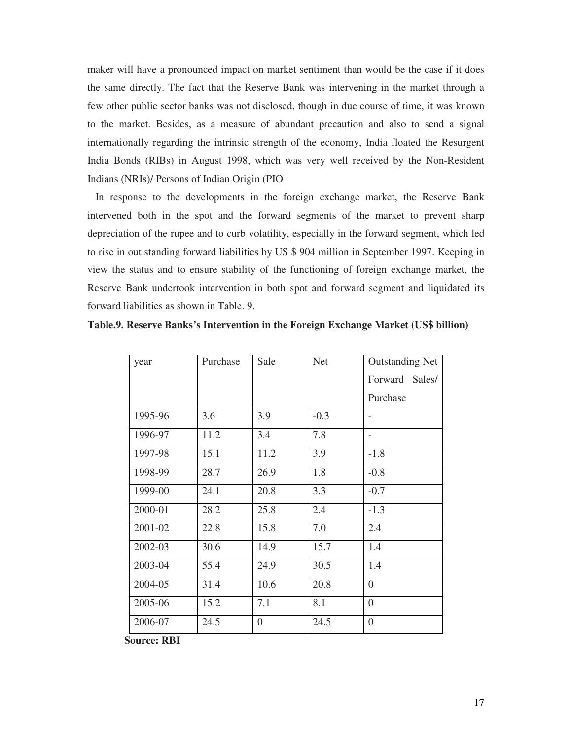maker will have a pronounced impact on market sentiment than would be the case if it does the same directly. The fact that the Reserve Bank was intervening in the market through a few other public sector banks was not disclosed, though in due course of time, it was known to the market. Besides, as a measure of abundant precaution and also to send a signal internationally regarding the intrinsic strength of the economy, India floated the Resurgent India Bonds (RIBs) in August 1998, which was very well received by the Non-Resident Indians (NRIs)/ Persons of Indian Origin (PIO

 In response to the developments in the foreign exchange market, the Reserve Bank intervened both in the spot and the forward segments of the market to prevent sharp depreciation of the rupee and to curb volatility, especially in the forward segment, which led to rise in out standing forward liabilities by US \$ 904 million in September 1997. Keeping in view the status and to ensure stability of the functioning of foreign exchange market, the Reserve Bank undertook intervention in both spot and forward segment and liquidated its forward liabilities as shown in Table. 9.

| Table.9. Reserve Banks's Intervention in the Foreign Exchange Market (US\$ billion) |  |  |  |  |  |  |  |  |  |
|-------------------------------------------------------------------------------------|--|--|--|--|--|--|--|--|--|
|-------------------------------------------------------------------------------------|--|--|--|--|--|--|--|--|--|

| year    | Purchase | Sale             | <b>Net</b> | <b>Outstanding Net</b>   |
|---------|----------|------------------|------------|--------------------------|
|         |          |                  |            | Forward Sales/           |
|         |          |                  |            | Purchase                 |
| 1995-96 | 3.6      | 3.9              | $-0.3$     | $\overline{\phantom{a}}$ |
| 1996-97 | 11.2     | 3.4              | 7.8        |                          |
| 1997-98 | 15.1     | 11.2             | 3.9        | $-1.8$                   |
| 1998-99 | 28.7     | 26.9             | 1.8        | $-0.8$                   |
| 1999-00 | 24.1     | 20.8             | 3.3        | $-0.7$                   |
| 2000-01 | 28.2     | 25.8             | 2.4        | $-1.3$                   |
| 2001-02 | 22.8     | 15.8             | 7.0        | 2.4                      |
| 2002-03 | 30.6     | 14.9             | 15.7       | 1.4                      |
| 2003-04 | 55.4     | 24.9             | 30.5       | 1.4                      |
| 2004-05 | 31.4     | 10.6             | 20.8       | $\overline{0}$           |
| 2005-06 | 15.2     | 7.1              | 8.1        | $\theta$                 |
| 2006-07 | 24.5     | $\boldsymbol{0}$ | 24.5       | $\theta$                 |

 **Source: RBI**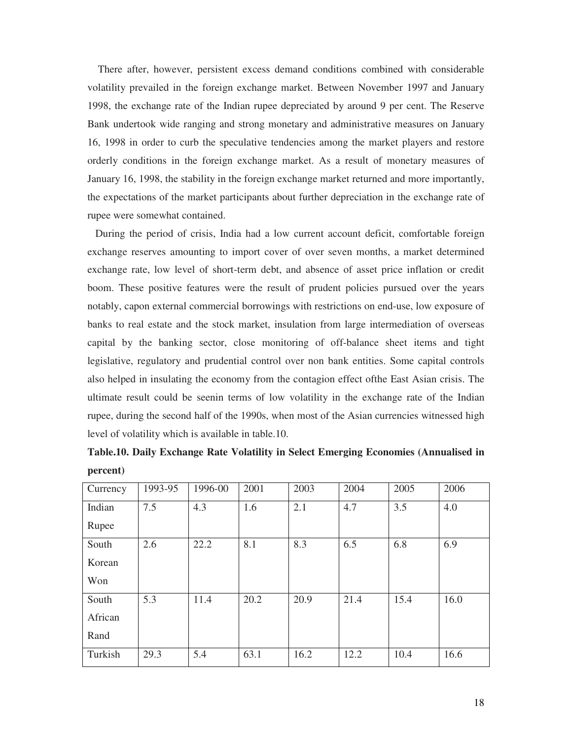There after, however, persistent excess demand conditions combined with considerable volatility prevailed in the foreign exchange market. Between November 1997 and January 1998, the exchange rate of the Indian rupee depreciated by around 9 per cent. The Reserve Bank undertook wide ranging and strong monetary and administrative measures on January 16, 1998 in order to curb the speculative tendencies among the market players and restore orderly conditions in the foreign exchange market. As a result of monetary measures of January 16, 1998, the stability in the foreign exchange market returned and more importantly, the expectations of the market participants about further depreciation in the exchange rate of rupee were somewhat contained.

 During the period of crisis, India had a low current account deficit, comfortable foreign exchange reserves amounting to import cover of over seven months, a market determined exchange rate, low level of short-term debt, and absence of asset price inflation or credit boom. These positive features were the result of prudent policies pursued over the years notably, capon external commercial borrowings with restrictions on end-use, low exposure of banks to real estate and the stock market, insulation from large intermediation of overseas capital by the banking sector, close monitoring of off-balance sheet items and tight legislative, regulatory and prudential control over non bank entities. Some capital controls also helped in insulating the economy from the contagion effect ofthe East Asian crisis. The ultimate result could be seenin terms of low volatility in the exchange rate of the Indian rupee, during the second half of the 1990s, when most of the Asian currencies witnessed high level of volatility which is available in table.10.

| percent) |                  |               |            |          |            |          |            |
|----------|------------------|---------------|------------|----------|------------|----------|------------|
| Currency | 1993-95          | 1996-00       | 2001       | 2003     | 2004       | 2005     | 2006       |
| Indian   | 7.5              | 4.3           | 1.6        | 2.1      | 4.7        | 3.5      | 4.0        |
| Rupee    |                  |               |            |          |            |          |            |
| $C = -1$ | $\cap$ $\subset$ | $\cap$ $\cap$ | $\Omega$ 1 | $\Omega$ | $\epsilon$ | $\sim$ 0 | $\sqrt{2}$ |

|          | Table.10. Daily Exchange Rate Volatility in Select Emerging Economies (Annualised in |  |  |  |
|----------|--------------------------------------------------------------------------------------|--|--|--|
| percent) |                                                                                      |  |  |  |

| South   | 2.6  | 22.2 | 8.1  | 8.3  | 6.5  | 6.8  | 6.9  |
|---------|------|------|------|------|------|------|------|
| Korean  |      |      |      |      |      |      |      |
| Won     |      |      |      |      |      |      |      |
| South   | 5.3  | 11.4 | 20.2 | 20.9 | 21.4 | 15.4 | 16.0 |
| African |      |      |      |      |      |      |      |
| Rand    |      |      |      |      |      |      |      |
| Turkish | 29.3 | 5.4  | 63.1 | 16.2 | 12.2 | 10.4 | 16.6 |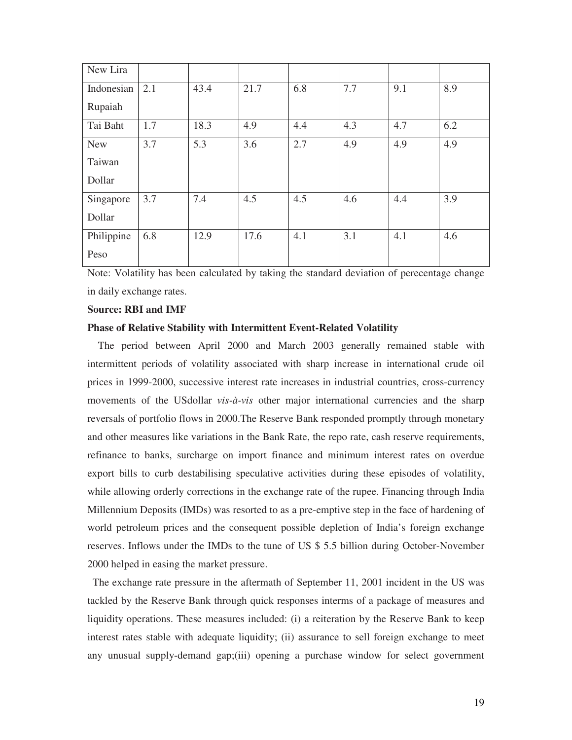| New Lira   |     |      |      |     |     |     |     |
|------------|-----|------|------|-----|-----|-----|-----|
| Indonesian | 2.1 | 43.4 | 21.7 | 6.8 | 7.7 | 9.1 | 8.9 |
| Rupaiah    |     |      |      |     |     |     |     |
| Tai Baht   | 1.7 | 18.3 | 4.9  | 4.4 | 4.3 | 4.7 | 6.2 |
| <b>New</b> | 3.7 | 5.3  | 3.6  | 2.7 | 4.9 | 4.9 | 4.9 |
| Taiwan     |     |      |      |     |     |     |     |
| Dollar     |     |      |      |     |     |     |     |
| Singapore  | 3.7 | 7.4  | 4.5  | 4.5 | 4.6 | 4.4 | 3.9 |
| Dollar     |     |      |      |     |     |     |     |
| Philippine | 6.8 | 12.9 | 17.6 | 4.1 | 3.1 | 4.1 | 4.6 |
| Peso       |     |      |      |     |     |     |     |

Note: Volatility has been calculated by taking the standard deviation of perecentage change in daily exchange rates.

#### **Source: RBI and IMF**

#### **Phase of Relative Stability with Intermittent Event-Related Volatility**

 The period between April 2000 and March 2003 generally remained stable with intermittent periods of volatility associated with sharp increase in international crude oil prices in 1999-2000, successive interest rate increases in industrial countries, cross-currency movements of the USdollar *vis-à-vis* other major international currencies and the sharp reversals of portfolio flows in 2000.The Reserve Bank responded promptly through monetary and other measures like variations in the Bank Rate, the repo rate, cash reserve requirements, refinance to banks, surcharge on import finance and minimum interest rates on overdue export bills to curb destabilising speculative activities during these episodes of volatility, while allowing orderly corrections in the exchange rate of the rupee. Financing through India Millennium Deposits (IMDs) was resorted to as a pre-emptive step in the face of hardening of world petroleum prices and the consequent possible depletion of India's foreign exchange reserves. Inflows under the IMDs to the tune of US \$ 5.5 billion during October-November 2000 helped in easing the market pressure.

 The exchange rate pressure in the aftermath of September 11, 2001 incident in the US was tackled by the Reserve Bank through quick responses interms of a package of measures and liquidity operations. These measures included: (i) a reiteration by the Reserve Bank to keep interest rates stable with adequate liquidity; (ii) assurance to sell foreign exchange to meet any unusual supply-demand gap;(iii) opening a purchase window for select government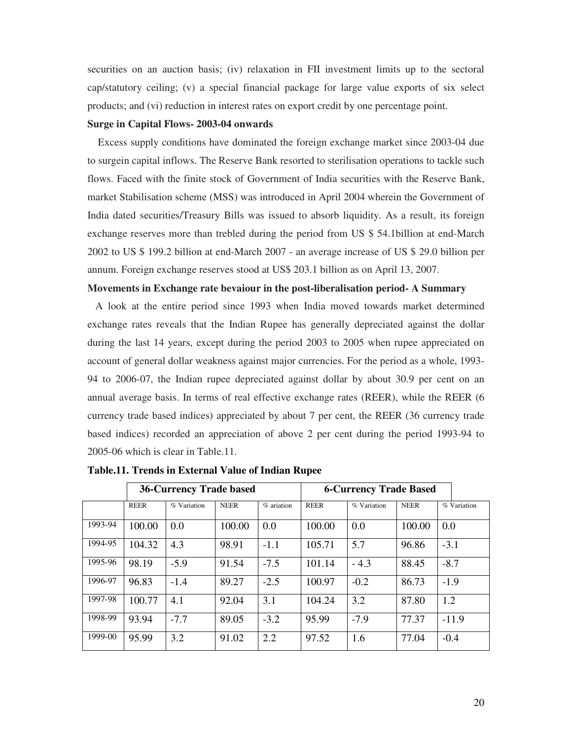securities on an auction basis; (iv) relaxation in FII investment limits up to the sectoral cap/statutory ceiling; (v) a special financial package for large value exports of six select products; and (vi) reduction in interest rates on export credit by one percentage point.

#### **Surge in Capital Flows- 2003-04 onwards**

 Excess supply conditions have dominated the foreign exchange market since 2003-04 due to surgein capital inflows. The Reserve Bank resorted to sterilisation operations to tackle such flows. Faced with the finite stock of Government of India securities with the Reserve Bank, market Stabilisation scheme (MSS) was introduced in April 2004 wherein the Government of India dated securities/Treasury Bills was issued to absorb liquidity. As a result, its foreign exchange reserves more than trebled during the period from US \$ 54.1billion at end-March 2002 to US \$ 199.2 billion at end-March 2007 - an average increase of US \$ 29.0 billion per annum. Foreign exchange reserves stood at US\$ 203.1 billion as on April 13, 2007.

#### **Movements in Exchange rate bevaiour in the post-liberalisation period- A Summary**

 A look at the entire period since 1993 when India moved towards market determined exchange rates reveals that the Indian Rupee has generally depreciated against the dollar during the last 14 years, except during the period 2003 to 2005 when rupee appreciated on account of general dollar weakness against major currencies. For the period as a whole, 1993- 94 to 2006-07, the Indian rupee depreciated against dollar by about 30.9 per cent on an annual average basis. In terms of real effective exchange rates (REER), while the REER (6 currency trade based indices) appreciated by about 7 per cent, the REER (36 currency trade based indices) recorded an appreciation of above 2 per cent during the period 1993-94 to 2005-06 which is clear in Table.11.

|           |             | <b>36-Currency Trade based</b> |             |              | <b>6-Currency Trade Based</b> |               |             |             |
|-----------|-------------|--------------------------------|-------------|--------------|-------------------------------|---------------|-------------|-------------|
|           | <b>REER</b> | % Variation                    | <b>NEER</b> | $%$ ariation | <b>REER</b>                   | $%$ Variation | <b>NEER</b> | % Variation |
| 1993-94   | 100.00      | 0.0                            | 100.00      | 0.0          | 100.00                        | 0.0           | 100.00      | 0.0         |
| 1994-95   | 104.32      | 4.3                            | 98.91       | $-1.1$       | 105.71                        | 5.7           | 96.86       | $-3.1$      |
| 1995-96   | 98.19       | $-5.9$                         | 91.54       | $-7.5$       | 101.14                        | $-4.3$        | 88.45       | $-8.7$      |
| 1996-97   | 96.83       | $-1.4$                         | 89.27       | $-2.5$       | 100.97                        | $-0.2$        | 86.73       | $-1.9$      |
| 1997-98   | 100.77      | 4.1                            | 92.04       | 3.1          | 104.24                        | 3.2           | 87.80       | 1.2         |
| 1998-99   | 93.94       | $-7.7$                         | 89.05       | $-3.2$       | 95.99                         | $-7.9$        | 77.37       | $-11.9$     |
| $1999-00$ | 95.99       | 3.2                            | 91.02       | 2.2          | 97.52                         | 1.6           | 77.04       | $-0.4$      |

**Table.11. Trends in External Value of Indian Rupee**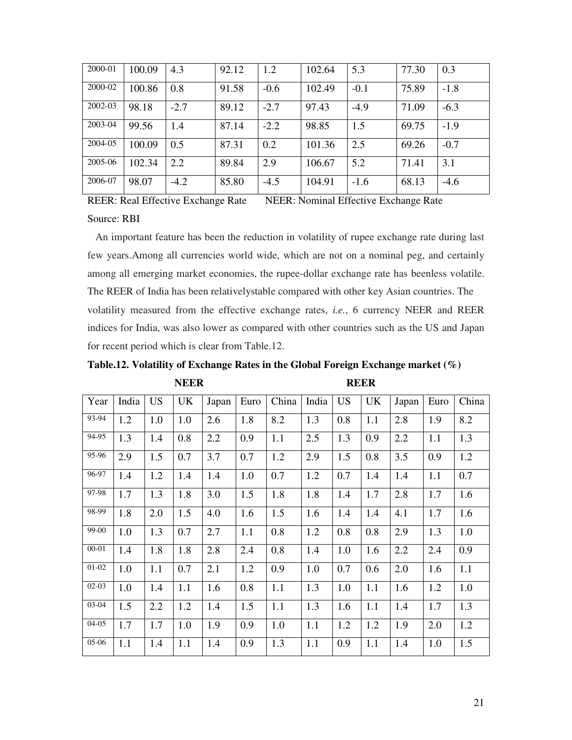| 2000-01 | 100.09 | 4.3    | 92.12 | 1.2    | 102.64 | 5.3    | 77.30 | 0.3    |
|---------|--------|--------|-------|--------|--------|--------|-------|--------|
| 2000-02 | 100.86 | 0.8    | 91.58 | $-0.6$ | 102.49 | $-0.1$ | 75.89 | $-1.8$ |
| 2002-03 | 98.18  | $-2.7$ | 89.12 | $-2.7$ | 97.43  | $-4.9$ | 71.09 | $-6.3$ |
| 2003-04 | 99.56  | 1.4    | 87.14 | $-2.2$ | 98.85  | 1.5    | 69.75 | $-1.9$ |
| 2004-05 | 100.09 | 0.5    | 87.31 | 0.2    | 101.36 | 2.5    | 69.26 | $-0.7$ |
| 2005-06 | 102.34 | 2.2    | 89.84 | 2.9    | 106.67 | 5.2    | 71.41 | 3.1    |
| 2006-07 | 98.07  | $-4.2$ | 85.80 | $-4.5$ | 104.91 | $-1.6$ | 68.13 | $-4.6$ |

REER: Real Effective Exchange Rate NEER: Nominal Effective Exchange Rate Source: RBI

 An important feature has been the reduction in volatility of rupee exchange rate during last few years.Among all currencies world wide, which are not on a nominal peg, and certainly among all emerging market economies, the rupee-dollar exchange rate has beenless volatile. The REER of India has been relativelystable compared with other key Asian countries. The volatility measured from the effective exchange rates, *i.e.*, 6 currency NEER and REER indices for India, was also lower as compared with other countries such as the US and Japan for recent period which is clear from Table.12.

**Table.12. Volatility of Exchange Rates in the Global Foreign Exchange market (%)** 

| <b>REER</b> |
|-------------|
|             |

| Year      | India | <b>US</b> | UK  | Japan | Euro | China | India | <b>US</b> | <b>UK</b> | Japan | Euro | China |
|-----------|-------|-----------|-----|-------|------|-------|-------|-----------|-----------|-------|------|-------|
| 93-94     | 1.2   | 1.0       | 1.0 | 2.6   | 1.8  | 8.2   | 1.3   | 0.8       | 1.1       | 2.8   | 1.9  | 8.2   |
| 94-95     | 1.3   | 1.4       | 0.8 | 2.2   | 0.9  | 1.1   | 2.5   | 1.3       | 0.9       | 2.2   | 1.1  | 1.3   |
| 95-96     | 2.9   | 1.5       | 0.7 | 3.7   | 0.7  | 1.2   | 2.9   | 1.5       | 0.8       | 3.5   | 0.9  | 1.2   |
| 96-97     | 1.4   | 1.2       | 1.4 | 1.4   | 1.0  | 0.7   | 1.2   | 0.7       | 1.4       | 1.4   | 1.1  | 0.7   |
| 97-98     | 1.7   | 1.3       | 1.8 | 3.0   | 1.5  | 1.8   | 1.8   | 1.4       | 1.7       | 2.8   | 1.7  | 1.6   |
| 98-99     | 1.8   | 2.0       | 1.5 | 4.0   | 1.6  | 1.5   | 1.6   | 1.4       | 1.4       | 4.1   | 1.7  | 1.6   |
| 99-00     | 1.0   | 1.3       | 0.7 | 2.7   | 1.1  | 0.8   | 1.2   | 0.8       | 0.8       | 2.9   | 1.3  | 1.0   |
| $00 - 01$ | 1.4   | 1.8       | 1.8 | 2.8   | 2.4  | 0.8   | 1.4   | 1.0       | 1.6       | 2.2   | 2.4  | 0.9   |
| $01 - 02$ | 1.0   | 1.1       | 0.7 | 2.1   | 1.2  | 0.9   | 1.0   | 0.7       | 0.6       | 2.0   | 1.6  | 1.1   |
| $02-03$   | 1.0   | 1.4       | 1.1 | 1.6   | 0.8  | 1.1   | 1.3   | 1.0       | 1.1       | 1.6   | 1.2  | 1.0   |
| 03-04     | 1.5   | 2.2       | 1.2 | 1.4   | 1.5  | 1.1   | 1.3   | 1.6       | 1.1       | 1.4   | 1.7  | 1.3   |
| $04 - 05$ | 1.7   | 1.7       | 1.0 | 1.9   | 0.9  | 1.0   | 1.1   | 1.2       | 1.2       | 1.9   | 2.0  | 1.2   |
| 05-06     | 1.1   | 1.4       | 1.1 | 1.4   | 0.9  | 1.3   | 1.1   | 0.9       | 1.1       | 1.4   | 1.0  | 1.5   |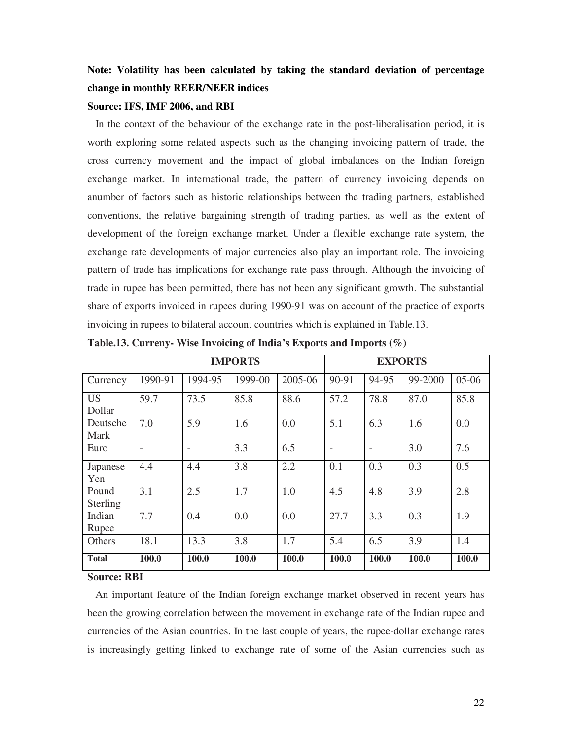# **Note: Volatility has been calculated by taking the standard deviation of percentage change in monthly REER/NEER indices**

#### **Source: IFS, IMF 2006, and RBI**

 In the context of the behaviour of the exchange rate in the post-liberalisation period, it is worth exploring some related aspects such as the changing invoicing pattern of trade, the cross currency movement and the impact of global imbalances on the Indian foreign exchange market. In international trade, the pattern of currency invoicing depends on anumber of factors such as historic relationships between the trading partners, established conventions, the relative bargaining strength of trading parties, as well as the extent of development of the foreign exchange market. Under a flexible exchange rate system, the exchange rate developments of major currencies also play an important role. The invoicing pattern of trade has implications for exchange rate pass through. Although the invoicing of trade in rupee has been permitted, there has not been any significant growth. The substantial share of exports invoiced in rupees during 1990-91 was on account of the practice of exports invoicing in rupees to bilateral account countries which is explained in Table.13.

|                     |         | <b>EXPORTS</b>           |         |         |       |       |              |         |
|---------------------|---------|--------------------------|---------|---------|-------|-------|--------------|---------|
| Currency            | 1990-91 | 1994-95                  | 1999-00 | 2005-06 | 90-91 | 94-95 | 99-2000      | $05-06$ |
| <b>US</b><br>Dollar | 59.7    | 73.5                     | 85.8    | 88.6    | 57.2  | 78.8  | 87.0         | 85.8    |
| Deutsche<br>Mark    | 7.0     | 5.9                      | 1.6     | 0.0     | 5.1   | 6.3   | 1.6          | 0.0     |
| Euro                |         | $\overline{\phantom{a}}$ | 3.3     | 6.5     |       |       | 3.0          | 7.6     |
| Japanese<br>Yen     | 4.4     | 4.4                      | 3.8     | 2.2     | 0.1   | 0.3   | 0.3          | 0.5     |
| Pound<br>Sterling   | 3.1     | 2.5                      | 1.7     | 1.0     | 4.5   | 4.8   | 3.9          | 2.8     |
| Indian<br>Rupee     | 7.7     | 0.4                      | 0.0     | 0.0     | 27.7  | 3.3   | 0.3          | 1.9     |
| Others              | 18.1    | 13.3                     | 3.8     | 1.7     | 5.4   | 6.5   | 3.9          | 1.4     |
| <b>Total</b>        | 100.0   | 100.0                    | 100.0   | 100.0   | 100.0 | 100.0 | <b>100.0</b> | 100.0   |

**Table.13. Curreny- Wise Invoicing of India's Exports and Imports (%)** 

### **Source: RBI**

 An important feature of the Indian foreign exchange market observed in recent years has been the growing correlation between the movement in exchange rate of the Indian rupee and currencies of the Asian countries. In the last couple of years, the rupee-dollar exchange rates is increasingly getting linked to exchange rate of some of the Asian currencies such as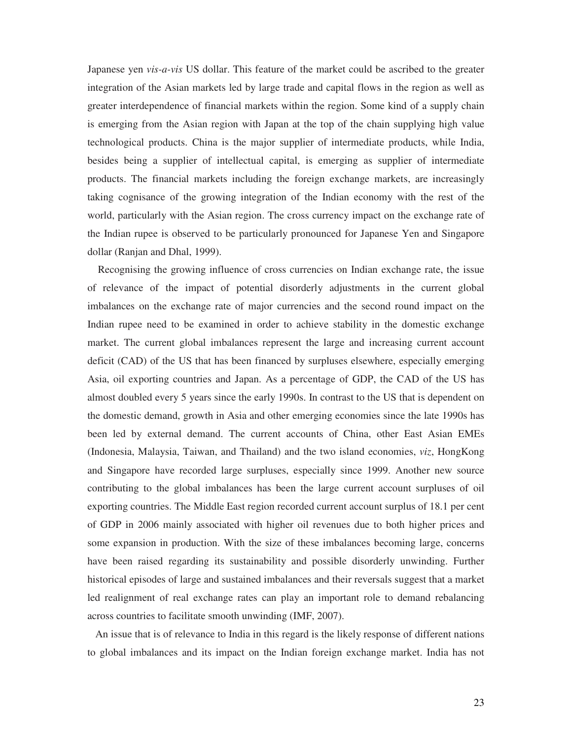Japanese yen *vis-a-vis* US dollar. This feature of the market could be ascribed to the greater integration of the Asian markets led by large trade and capital flows in the region as well as greater interdependence of financial markets within the region. Some kind of a supply chain is emerging from the Asian region with Japan at the top of the chain supplying high value technological products. China is the major supplier of intermediate products, while India, besides being a supplier of intellectual capital, is emerging as supplier of intermediate products. The financial markets including the foreign exchange markets, are increasingly taking cognisance of the growing integration of the Indian economy with the rest of the world, particularly with the Asian region. The cross currency impact on the exchange rate of the Indian rupee is observed to be particularly pronounced for Japanese Yen and Singapore dollar (Ranjan and Dhal, 1999).

 Recognising the growing influence of cross currencies on Indian exchange rate, the issue of relevance of the impact of potential disorderly adjustments in the current global imbalances on the exchange rate of major currencies and the second round impact on the Indian rupee need to be examined in order to achieve stability in the domestic exchange market. The current global imbalances represent the large and increasing current account deficit (CAD) of the US that has been financed by surpluses elsewhere, especially emerging Asia, oil exporting countries and Japan. As a percentage of GDP, the CAD of the US has almost doubled every 5 years since the early 1990s. In contrast to the US that is dependent on the domestic demand, growth in Asia and other emerging economies since the late 1990s has been led by external demand. The current accounts of China, other East Asian EMEs (Indonesia, Malaysia, Taiwan, and Thailand) and the two island economies, *viz*, HongKong and Singapore have recorded large surpluses, especially since 1999. Another new source contributing to the global imbalances has been the large current account surpluses of oil exporting countries. The Middle East region recorded current account surplus of 18.1 per cent of GDP in 2006 mainly associated with higher oil revenues due to both higher prices and some expansion in production. With the size of these imbalances becoming large, concerns have been raised regarding its sustainability and possible disorderly unwinding. Further historical episodes of large and sustained imbalances and their reversals suggest that a market led realignment of real exchange rates can play an important role to demand rebalancing across countries to facilitate smooth unwinding (IMF, 2007).

 An issue that is of relevance to India in this regard is the likely response of different nations to global imbalances and its impact on the Indian foreign exchange market. India has not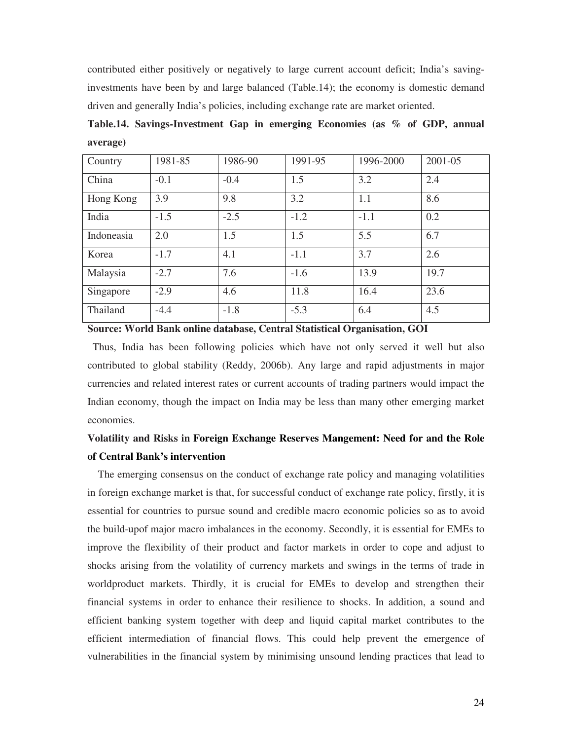contributed either positively or negatively to large current account deficit; India's savinginvestments have been by and large balanced (Table.14); the economy is domestic demand driven and generally India's policies, including exchange rate are market oriented.

**Table.14. Savings-Investment Gap in emerging Economies (as % of GDP, annual average)** 

| Country    | 1981-85 | 1986-90 | 1991-95 | 1996-2000 | 2001-05 |
|------------|---------|---------|---------|-----------|---------|
| China      | $-0.1$  | $-0.4$  | 1.5     | 3.2       | 2.4     |
| Hong Kong  | 3.9     | 9.8     | 3.2     | 1.1       | 8.6     |
| India      | $-1.5$  | $-2.5$  | $-1.2$  | $-1.1$    | 0.2     |
| Indoneasia | 2.0     | 1.5     | 1.5     | 5.5       | 6.7     |
| Korea      | $-1.7$  | 4.1     | $-1.1$  | 3.7       | 2.6     |
| Malaysia   | $-2.7$  | 7.6     | $-1.6$  | 13.9      | 19.7    |
| Singapore  | $-2.9$  | 4.6     | 11.8    | 16.4      | 23.6    |
| Thailand   | $-4.4$  | $-1.8$  | $-5.3$  | 6.4       | 4.5     |

**Source: World Bank online database, Central Statistical Organisation, GOI** 

 Thus, India has been following policies which have not only served it well but also contributed to global stability (Reddy, 2006b). Any large and rapid adjustments in major currencies and related interest rates or current accounts of trading partners would impact the Indian economy, though the impact on India may be less than many other emerging market economies.

# **Volatility and Risks in Foreign Exchange Reserves Mangement: Need for and the Role of Central Bank's intervention**

 The emerging consensus on the conduct of exchange rate policy and managing volatilities in foreign exchange market is that, for successful conduct of exchange rate policy, firstly, it is essential for countries to pursue sound and credible macro economic policies so as to avoid the build-upof major macro imbalances in the economy. Secondly, it is essential for EMEs to improve the flexibility of their product and factor markets in order to cope and adjust to shocks arising from the volatility of currency markets and swings in the terms of trade in worldproduct markets. Thirdly, it is crucial for EMEs to develop and strengthen their financial systems in order to enhance their resilience to shocks. In addition, a sound and efficient banking system together with deep and liquid capital market contributes to the efficient intermediation of financial flows. This could help prevent the emergence of vulnerabilities in the financial system by minimising unsound lending practices that lead to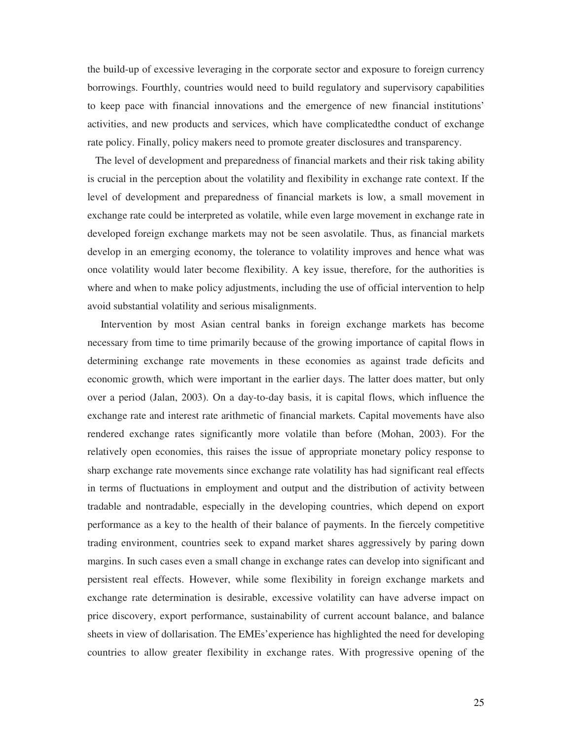the build-up of excessive leveraging in the corporate sector and exposure to foreign currency borrowings. Fourthly, countries would need to build regulatory and supervisory capabilities to keep pace with financial innovations and the emergence of new financial institutions' activities, and new products and services, which have complicatedthe conduct of exchange rate policy. Finally, policy makers need to promote greater disclosures and transparency.

 The level of development and preparedness of financial markets and their risk taking ability is crucial in the perception about the volatility and flexibility in exchange rate context. If the level of development and preparedness of financial markets is low, a small movement in exchange rate could be interpreted as volatile, while even large movement in exchange rate in developed foreign exchange markets may not be seen asvolatile. Thus, as financial markets develop in an emerging economy, the tolerance to volatility improves and hence what was once volatility would later become flexibility. A key issue, therefore, for the authorities is where and when to make policy adjustments, including the use of official intervention to help avoid substantial volatility and serious misalignments.

 Intervention by most Asian central banks in foreign exchange markets has become necessary from time to time primarily because of the growing importance of capital flows in determining exchange rate movements in these economies as against trade deficits and economic growth, which were important in the earlier days. The latter does matter, but only over a period (Jalan, 2003). On a day-to-day basis, it is capital flows, which influence the exchange rate and interest rate arithmetic of financial markets. Capital movements have also rendered exchange rates significantly more volatile than before (Mohan, 2003). For the relatively open economies, this raises the issue of appropriate monetary policy response to sharp exchange rate movements since exchange rate volatility has had significant real effects in terms of fluctuations in employment and output and the distribution of activity between tradable and nontradable, especially in the developing countries, which depend on export performance as a key to the health of their balance of payments. In the fiercely competitive trading environment, countries seek to expand market shares aggressively by paring down margins. In such cases even a small change in exchange rates can develop into significant and persistent real effects. However, while some flexibility in foreign exchange markets and exchange rate determination is desirable, excessive volatility can have adverse impact on price discovery, export performance, sustainability of current account balance, and balance sheets in view of dollarisation. The EMEs'experience has highlighted the need for developing countries to allow greater flexibility in exchange rates. With progressive opening of the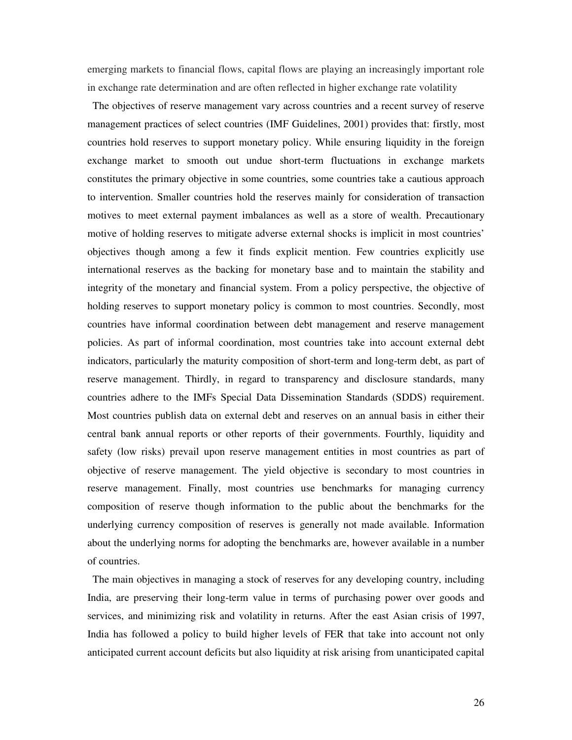emerging markets to financial flows, capital flows are playing an increasingly important role in exchange rate determination and are often reflected in higher exchange rate volatility

 The objectives of reserve management vary across countries and a recent survey of reserve management practices of select countries (IMF Guidelines, 2001) provides that: firstly, most countries hold reserves to support monetary policy. While ensuring liquidity in the foreign exchange market to smooth out undue short-term fluctuations in exchange markets constitutes the primary objective in some countries, some countries take a cautious approach to intervention. Smaller countries hold the reserves mainly for consideration of transaction motives to meet external payment imbalances as well as a store of wealth. Precautionary motive of holding reserves to mitigate adverse external shocks is implicit in most countries' objectives though among a few it finds explicit mention. Few countries explicitly use international reserves as the backing for monetary base and to maintain the stability and integrity of the monetary and financial system. From a policy perspective, the objective of holding reserves to support monetary policy is common to most countries. Secondly, most countries have informal coordination between debt management and reserve management policies. As part of informal coordination, most countries take into account external debt indicators, particularly the maturity composition of short-term and long-term debt, as part of reserve management. Thirdly, in regard to transparency and disclosure standards, many countries adhere to the IMFs Special Data Dissemination Standards (SDDS) requirement. Most countries publish data on external debt and reserves on an annual basis in either their central bank annual reports or other reports of their governments. Fourthly, liquidity and safety (low risks) prevail upon reserve management entities in most countries as part of objective of reserve management. The yield objective is secondary to most countries in reserve management. Finally, most countries use benchmarks for managing currency composition of reserve though information to the public about the benchmarks for the underlying currency composition of reserves is generally not made available. Information about the underlying norms for adopting the benchmarks are, however available in a number of countries.

 The main objectives in managing a stock of reserves for any developing country, including India, are preserving their long-term value in terms of purchasing power over goods and services, and minimizing risk and volatility in returns. After the east Asian crisis of 1997, India has followed a policy to build higher levels of FER that take into account not only anticipated current account deficits but also liquidity at risk arising from unanticipated capital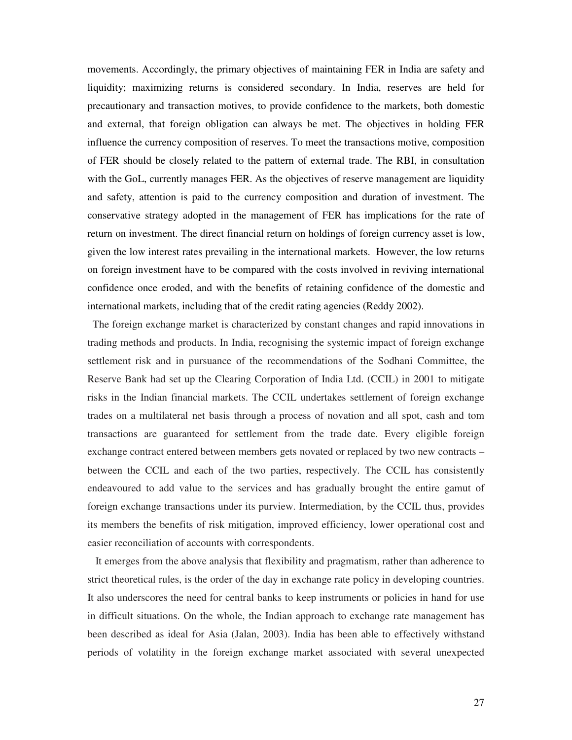movements. Accordingly, the primary objectives of maintaining FER in India are safety and liquidity; maximizing returns is considered secondary. In India, reserves are held for precautionary and transaction motives, to provide confidence to the markets, both domestic and external, that foreign obligation can always be met. The objectives in holding FER influence the currency composition of reserves. To meet the transactions motive, composition of FER should be closely related to the pattern of external trade. The RBI, in consultation with the GoL, currently manages FER. As the objectives of reserve management are liquidity and safety, attention is paid to the currency composition and duration of investment. The conservative strategy adopted in the management of FER has implications for the rate of return on investment. The direct financial return on holdings of foreign currency asset is low, given the low interest rates prevailing in the international markets. However, the low returns on foreign investment have to be compared with the costs involved in reviving international confidence once eroded, and with the benefits of retaining confidence of the domestic and international markets, including that of the credit rating agencies (Reddy 2002).

 The foreign exchange market is characterized by constant changes and rapid innovations in trading methods and products. In India, recognising the systemic impact of foreign exchange settlement risk and in pursuance of the recommendations of the Sodhani Committee, the Reserve Bank had set up the Clearing Corporation of India Ltd. (CCIL) in 2001 to mitigate risks in the Indian financial markets. The CCIL undertakes settlement of foreign exchange trades on a multilateral net basis through a process of novation and all spot, cash and tom transactions are guaranteed for settlement from the trade date. Every eligible foreign exchange contract entered between members gets novated or replaced by two new contracts – between the CCIL and each of the two parties, respectively. The CCIL has consistently endeavoured to add value to the services and has gradually brought the entire gamut of foreign exchange transactions under its purview. Intermediation, by the CCIL thus, provides its members the benefits of risk mitigation, improved efficiency, lower operational cost and easier reconciliation of accounts with correspondents.

 It emerges from the above analysis that flexibility and pragmatism, rather than adherence to strict theoretical rules, is the order of the day in exchange rate policy in developing countries. It also underscores the need for central banks to keep instruments or policies in hand for use in difficult situations. On the whole, the Indian approach to exchange rate management has been described as ideal for Asia (Jalan, 2003). India has been able to effectively withstand periods of volatility in the foreign exchange market associated with several unexpected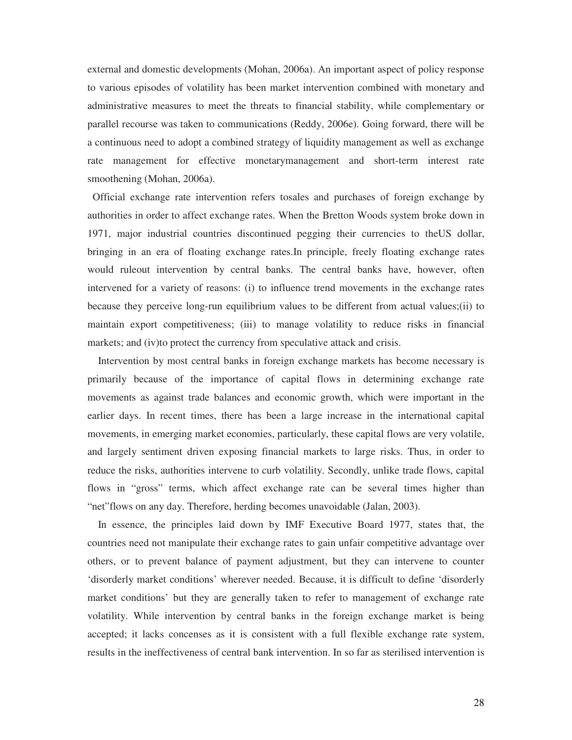external and domestic developments (Mohan, 2006a). An important aspect of policy response to various episodes of volatility has been market intervention combined with monetary and administrative measures to meet the threats to financial stability, while complementary or parallel recourse was taken to communications (Reddy, 2006e). Going forward, there will be a continuous need to adopt a combined strategy of liquidity management as well as exchange rate management for effective monetarymanagement and short-term interest rate smoothening (Mohan, 2006a).

 Official exchange rate intervention refers tosales and purchases of foreign exchange by authorities in order to affect exchange rates. When the Bretton Woods system broke down in 1971, major industrial countries discontinued pegging their currencies to theUS dollar, bringing in an era of floating exchange rates.In principle, freely floating exchange rates would ruleout intervention by central banks. The central banks have, however, often intervened for a variety of reasons: (i) to influence trend movements in the exchange rates because they perceive long-run equilibrium values to be different from actual values;(ii) to maintain export competitiveness; (iii) to manage volatility to reduce risks in financial markets; and (iv)to protect the currency from speculative attack and crisis.

 Intervention by most central banks in foreign exchange markets has become necessary is primarily because of the importance of capital flows in determining exchange rate movements as against trade balances and economic growth, which were important in the earlier days. In recent times, there has been a large increase in the international capital movements, in emerging market economies, particularly, these capital flows are very volatile, and largely sentiment driven exposing financial markets to large risks. Thus, in order to reduce the risks, authorities intervene to curb volatility. Secondly, unlike trade flows, capital flows in "gross" terms, which affect exchange rate can be several times higher than "net"flows on any day. Therefore, herding becomes unavoidable (Jalan, 2003).

 In essence, the principles laid down by IMF Executive Board 1977, states that, the countries need not manipulate their exchange rates to gain unfair competitive advantage over others, or to prevent balance of payment adjustment, but they can intervene to counter 'disorderly market conditions' wherever needed. Because, it is difficult to define 'disorderly market conditions' but they are generally taken to refer to management of exchange rate volatility. While intervention by central banks in the foreign exchange market is being accepted; it lacks concenses as it is consistent with a full flexible exchange rate system, results in the ineffectiveness of central bank intervention. In so far as sterilised intervention is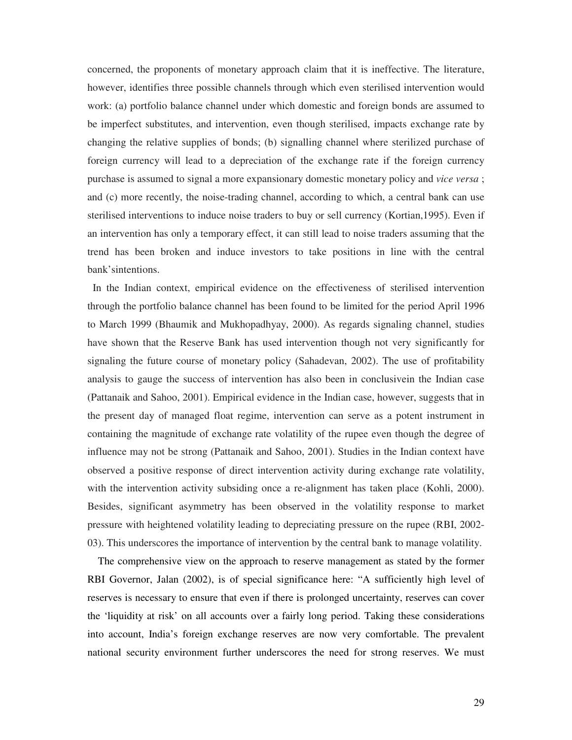concerned, the proponents of monetary approach claim that it is ineffective. The literature, however, identifies three possible channels through which even sterilised intervention would work: (a) portfolio balance channel under which domestic and foreign bonds are assumed to be imperfect substitutes, and intervention, even though sterilised, impacts exchange rate by changing the relative supplies of bonds; (b) signalling channel where sterilized purchase of foreign currency will lead to a depreciation of the exchange rate if the foreign currency purchase is assumed to signal a more expansionary domestic monetary policy and *vice versa* ; and (c) more recently, the noise-trading channel, according to which, a central bank can use sterilised interventions to induce noise traders to buy or sell currency (Kortian,1995). Even if an intervention has only a temporary effect, it can still lead to noise traders assuming that the trend has been broken and induce investors to take positions in line with the central bank'sintentions.

 In the Indian context, empirical evidence on the effectiveness of sterilised intervention through the portfolio balance channel has been found to be limited for the period April 1996 to March 1999 (Bhaumik and Mukhopadhyay, 2000). As regards signaling channel, studies have shown that the Reserve Bank has used intervention though not very significantly for signaling the future course of monetary policy (Sahadevan, 2002). The use of profitability analysis to gauge the success of intervention has also been in conclusivein the Indian case (Pattanaik and Sahoo, 2001). Empirical evidence in the Indian case, however, suggests that in the present day of managed float regime, intervention can serve as a potent instrument in containing the magnitude of exchange rate volatility of the rupee even though the degree of influence may not be strong (Pattanaik and Sahoo, 2001). Studies in the Indian context have observed a positive response of direct intervention activity during exchange rate volatility, with the intervention activity subsiding once a re-alignment has taken place (Kohli, 2000). Besides, significant asymmetry has been observed in the volatility response to market pressure with heightened volatility leading to depreciating pressure on the rupee (RBI, 2002- 03). This underscores the importance of intervention by the central bank to manage volatility.

 The comprehensive view on the approach to reserve management as stated by the former RBI Governor, Jalan (2002), is of special significance here: "A sufficiently high level of reserves is necessary to ensure that even if there is prolonged uncertainty, reserves can cover the 'liquidity at risk' on all accounts over a fairly long period. Taking these considerations into account, India's foreign exchange reserves are now very comfortable. The prevalent national security environment further underscores the need for strong reserves. We must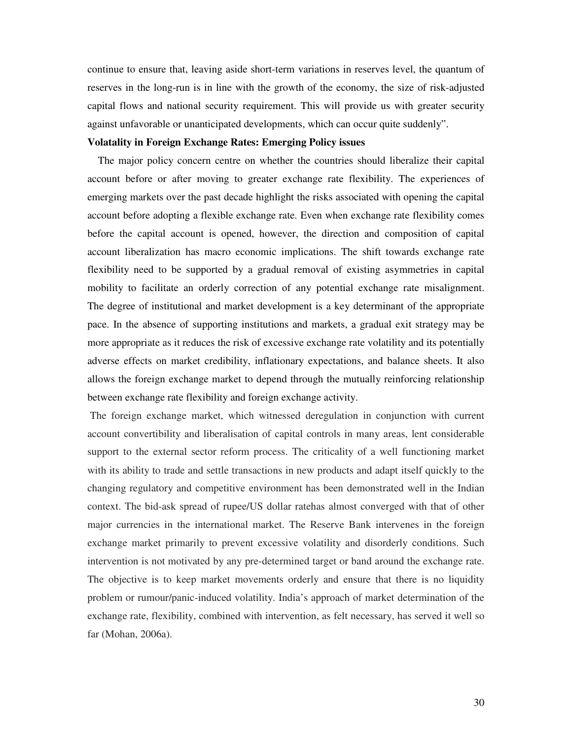continue to ensure that, leaving aside short-term variations in reserves level, the quantum of reserves in the long-run is in line with the growth of the economy, the size of risk-adjusted capital flows and national security requirement. This will provide us with greater security against unfavorable or unanticipated developments, which can occur quite suddenly".

#### **Volatality in Foreign Exchange Rates: Emerging Policy issues**

 The major policy concern centre on whether the countries should liberalize their capital account before or after moving to greater exchange rate flexibility. The experiences of emerging markets over the past decade highlight the risks associated with opening the capital account before adopting a flexible exchange rate. Even when exchange rate flexibility comes before the capital account is opened, however, the direction and composition of capital account liberalization has macro economic implications. The shift towards exchange rate flexibility need to be supported by a gradual removal of existing asymmetries in capital mobility to facilitate an orderly correction of any potential exchange rate misalignment. The degree of institutional and market development is a key determinant of the appropriate pace. In the absence of supporting institutions and markets, a gradual exit strategy may be more appropriate as it reduces the risk of excessive exchange rate volatility and its potentially adverse effects on market credibility, inflationary expectations, and balance sheets. It also allows the foreign exchange market to depend through the mutually reinforcing relationship between exchange rate flexibility and foreign exchange activity.

 The foreign exchange market, which witnessed deregulation in conjunction with current account convertibility and liberalisation of capital controls in many areas, lent considerable support to the external sector reform process. The criticality of a well functioning market with its ability to trade and settle transactions in new products and adapt itself quickly to the changing regulatory and competitive environment has been demonstrated well in the Indian context. The bid-ask spread of rupee/US dollar ratehas almost converged with that of other major currencies in the international market. The Reserve Bank intervenes in the foreign exchange market primarily to prevent excessive volatility and disorderly conditions. Such intervention is not motivated by any pre-determined target or band around the exchange rate. The objective is to keep market movements orderly and ensure that there is no liquidity problem or rumour/panic-induced volatility. India's approach of market determination of the exchange rate, flexibility, combined with intervention, as felt necessary, has served it well so far (Mohan, 2006a).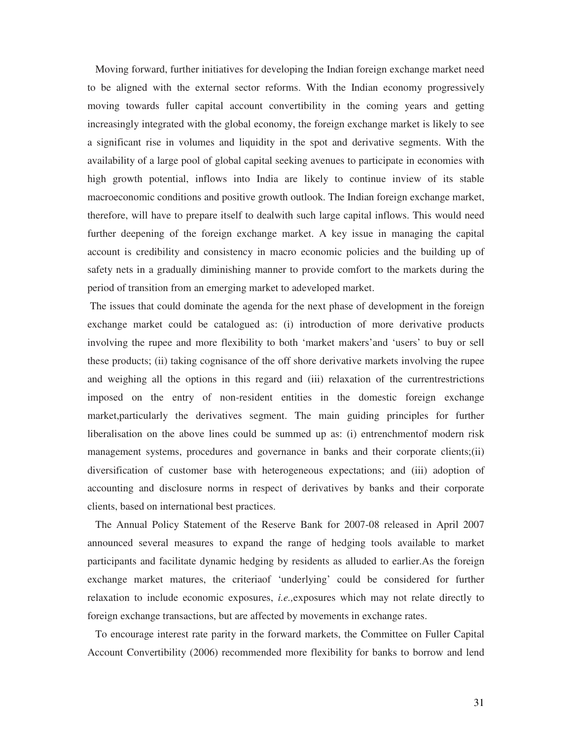Moving forward, further initiatives for developing the Indian foreign exchange market need to be aligned with the external sector reforms. With the Indian economy progressively moving towards fuller capital account convertibility in the coming years and getting increasingly integrated with the global economy, the foreign exchange market is likely to see a significant rise in volumes and liquidity in the spot and derivative segments. With the availability of a large pool of global capital seeking avenues to participate in economies with high growth potential, inflows into India are likely to continue inview of its stable macroeconomic conditions and positive growth outlook. The Indian foreign exchange market, therefore, will have to prepare itself to dealwith such large capital inflows. This would need further deepening of the foreign exchange market. A key issue in managing the capital account is credibility and consistency in macro economic policies and the building up of safety nets in a gradually diminishing manner to provide comfort to the markets during the period of transition from an emerging market to adeveloped market.

 The issues that could dominate the agenda for the next phase of development in the foreign exchange market could be catalogued as: (i) introduction of more derivative products involving the rupee and more flexibility to both 'market makers'and 'users' to buy or sell these products; (ii) taking cognisance of the off shore derivative markets involving the rupee and weighing all the options in this regard and (iii) relaxation of the currentrestrictions imposed on the entry of non-resident entities in the domestic foreign exchange market,particularly the derivatives segment. The main guiding principles for further liberalisation on the above lines could be summed up as: (i) entrenchmentof modern risk management systems, procedures and governance in banks and their corporate clients;(ii) diversification of customer base with heterogeneous expectations; and (iii) adoption of accounting and disclosure norms in respect of derivatives by banks and their corporate clients, based on international best practices.

 The Annual Policy Statement of the Reserve Bank for 2007-08 released in April 2007 announced several measures to expand the range of hedging tools available to market participants and facilitate dynamic hedging by residents as alluded to earlier.As the foreign exchange market matures, the criteriaof 'underlying' could be considered for further relaxation to include economic exposures, *i.e.,*exposures which may not relate directly to foreign exchange transactions, but are affected by movements in exchange rates.

 To encourage interest rate parity in the forward markets, the Committee on Fuller Capital Account Convertibility (2006) recommended more flexibility for banks to borrow and lend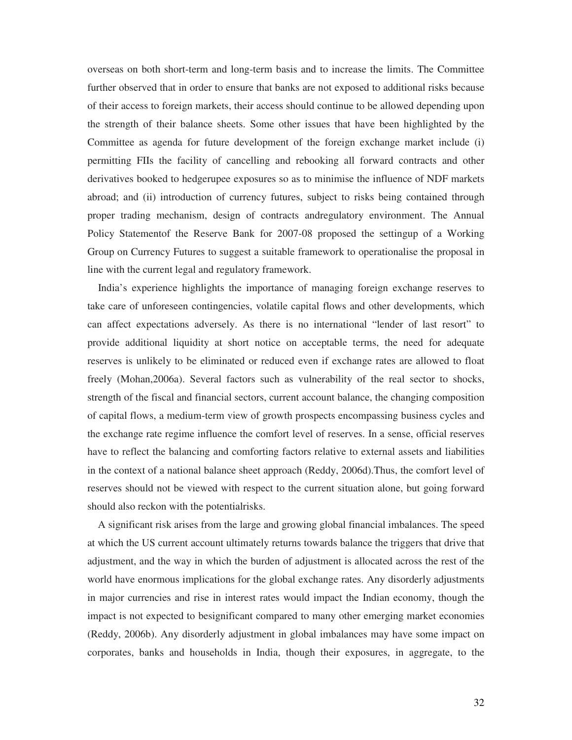overseas on both short-term and long-term basis and to increase the limits. The Committee further observed that in order to ensure that banks are not exposed to additional risks because of their access to foreign markets, their access should continue to be allowed depending upon the strength of their balance sheets. Some other issues that have been highlighted by the Committee as agenda for future development of the foreign exchange market include (i) permitting FIIs the facility of cancelling and rebooking all forward contracts and other derivatives booked to hedgerupee exposures so as to minimise the influence of NDF markets abroad; and (ii) introduction of currency futures, subject to risks being contained through proper trading mechanism, design of contracts andregulatory environment. The Annual Policy Statementof the Reserve Bank for 2007-08 proposed the settingup of a Working Group on Currency Futures to suggest a suitable framework to operationalise the proposal in line with the current legal and regulatory framework.

 India's experience highlights the importance of managing foreign exchange reserves to take care of unforeseen contingencies, volatile capital flows and other developments, which can affect expectations adversely. As there is no international "lender of last resort" to provide additional liquidity at short notice on acceptable terms, the need for adequate reserves is unlikely to be eliminated or reduced even if exchange rates are allowed to float freely (Mohan,2006a). Several factors such as vulnerability of the real sector to shocks, strength of the fiscal and financial sectors, current account balance, the changing composition of capital flows, a medium-term view of growth prospects encompassing business cycles and the exchange rate regime influence the comfort level of reserves. In a sense, official reserves have to reflect the balancing and comforting factors relative to external assets and liabilities in the context of a national balance sheet approach (Reddy, 2006d).Thus, the comfort level of reserves should not be viewed with respect to the current situation alone, but going forward should also reckon with the potentialrisks.

 A significant risk arises from the large and growing global financial imbalances. The speed at which the US current account ultimately returns towards balance the triggers that drive that adjustment, and the way in which the burden of adjustment is allocated across the rest of the world have enormous implications for the global exchange rates. Any disorderly adjustments in major currencies and rise in interest rates would impact the Indian economy, though the impact is not expected to besignificant compared to many other emerging market economies (Reddy, 2006b). Any disorderly adjustment in global imbalances may have some impact on corporates, banks and households in India, though their exposures, in aggregate, to the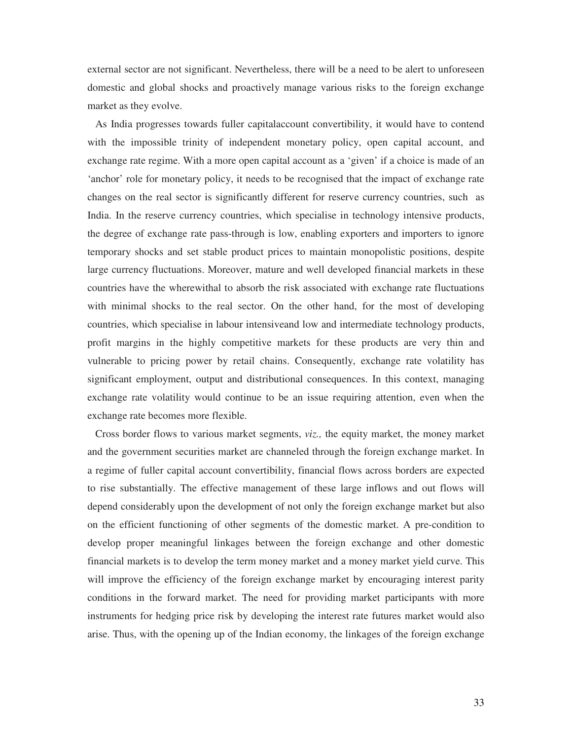external sector are not significant. Nevertheless, there will be a need to be alert to unforeseen domestic and global shocks and proactively manage various risks to the foreign exchange market as they evolve.

 As India progresses towards fuller capitalaccount convertibility, it would have to contend with the impossible trinity of independent monetary policy, open capital account, and exchange rate regime. With a more open capital account as a 'given' if a choice is made of an 'anchor' role for monetary policy, it needs to be recognised that the impact of exchange rate changes on the real sector is significantly different for reserve currency countries, such as India. In the reserve currency countries, which specialise in technology intensive products, the degree of exchange rate pass-through is low, enabling exporters and importers to ignore temporary shocks and set stable product prices to maintain monopolistic positions, despite large currency fluctuations. Moreover, mature and well developed financial markets in these countries have the wherewithal to absorb the risk associated with exchange rate fluctuations with minimal shocks to the real sector. On the other hand, for the most of developing countries, which specialise in labour intensiveand low and intermediate technology products, profit margins in the highly competitive markets for these products are very thin and vulnerable to pricing power by retail chains. Consequently, exchange rate volatility has significant employment, output and distributional consequences. In this context, managing exchange rate volatility would continue to be an issue requiring attention, even when the exchange rate becomes more flexible.

 Cross border flows to various market segments, *viz.,* the equity market, the money market and the government securities market are channeled through the foreign exchange market. In a regime of fuller capital account convertibility, financial flows across borders are expected to rise substantially. The effective management of these large inflows and out flows will depend considerably upon the development of not only the foreign exchange market but also on the efficient functioning of other segments of the domestic market. A pre-condition to develop proper meaningful linkages between the foreign exchange and other domestic financial markets is to develop the term money market and a money market yield curve. This will improve the efficiency of the foreign exchange market by encouraging interest parity conditions in the forward market. The need for providing market participants with more instruments for hedging price risk by developing the interest rate futures market would also arise. Thus, with the opening up of the Indian economy, the linkages of the foreign exchange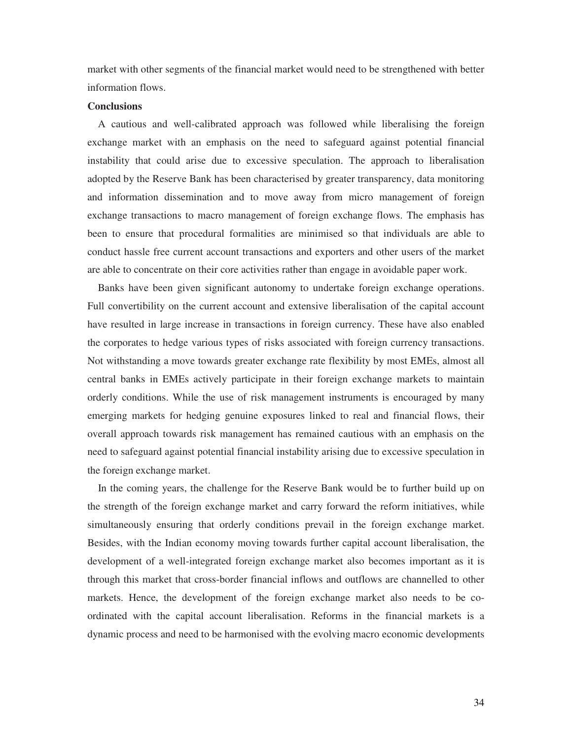market with other segments of the financial market would need to be strengthened with better information flows.

#### **Conclusions**

 A cautious and well-calibrated approach was followed while liberalising the foreign exchange market with an emphasis on the need to safeguard against potential financial instability that could arise due to excessive speculation. The approach to liberalisation adopted by the Reserve Bank has been characterised by greater transparency, data monitoring and information dissemination and to move away from micro management of foreign exchange transactions to macro management of foreign exchange flows. The emphasis has been to ensure that procedural formalities are minimised so that individuals are able to conduct hassle free current account transactions and exporters and other users of the market are able to concentrate on their core activities rather than engage in avoidable paper work.

 Banks have been given significant autonomy to undertake foreign exchange operations. Full convertibility on the current account and extensive liberalisation of the capital account have resulted in large increase in transactions in foreign currency. These have also enabled the corporates to hedge various types of risks associated with foreign currency transactions. Not withstanding a move towards greater exchange rate flexibility by most EMEs, almost all central banks in EMEs actively participate in their foreign exchange markets to maintain orderly conditions. While the use of risk management instruments is encouraged by many emerging markets for hedging genuine exposures linked to real and financial flows, their overall approach towards risk management has remained cautious with an emphasis on the need to safeguard against potential financial instability arising due to excessive speculation in the foreign exchange market.

 In the coming years, the challenge for the Reserve Bank would be to further build up on the strength of the foreign exchange market and carry forward the reform initiatives, while simultaneously ensuring that orderly conditions prevail in the foreign exchange market. Besides, with the Indian economy moving towards further capital account liberalisation, the development of a well-integrated foreign exchange market also becomes important as it is through this market that cross-border financial inflows and outflows are channelled to other markets. Hence, the development of the foreign exchange market also needs to be coordinated with the capital account liberalisation. Reforms in the financial markets is a dynamic process and need to be harmonised with the evolving macro economic developments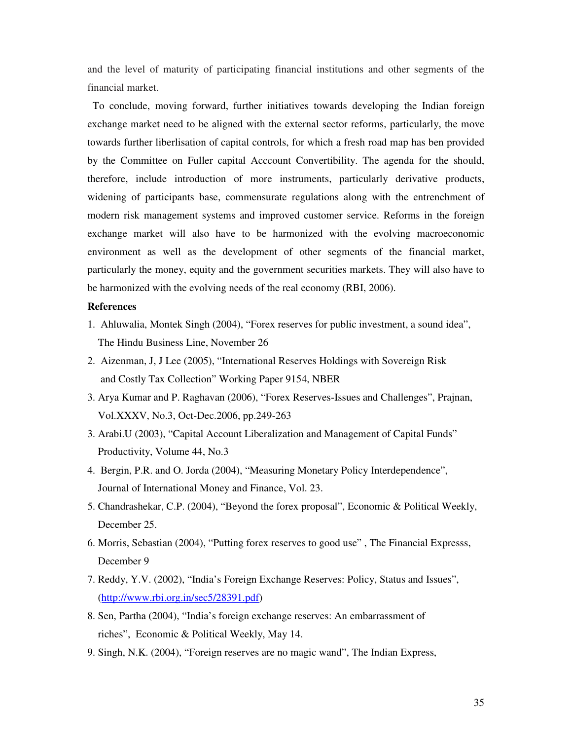and the level of maturity of participating financial institutions and other segments of the financial market.

To conclude, moving forward, further initiatives towards developing the Indian foreign exchange market need to be aligned with the external sector reforms, particularly, the move towards further liberlisation of capital controls, for which a fresh road map has ben provided by the Committee on Fuller capital Acccount Convertibility. The agenda for the should, therefore, include introduction of more instruments, particularly derivative products, widening of participants base, commensurate regulations along with the entrenchment of modern risk management systems and improved customer service. Reforms in the foreign exchange market will also have to be harmonized with the evolving macroeconomic environment as well as the development of other segments of the financial market, particularly the money, equity and the government securities markets. They will also have to be harmonized with the evolving needs of the real economy (RBI, 2006).

#### **References**

- 1. Ahluwalia, Montek Singh (2004), "Forex reserves for public investment, a sound idea", The Hindu Business Line, November 26
- 2. Aizenman, J, J Lee (2005), "International Reserves Holdings with Sovereign Risk and Costly Tax Collection" Working Paper 9154, NBER
- 3. Arya Kumar and P. Raghavan (2006), "Forex Reserves-Issues and Challenges", Prajnan, Vol.XXXV, No.3, Oct-Dec.2006, pp.249-263
- 3. Arabi.U (2003), "Capital Account Liberalization and Management of Capital Funds" Productivity, Volume 44, No.3
- 4. Bergin, P.R. and O. Jorda (2004), "Measuring Monetary Policy Interdependence", Journal of International Money and Finance, Vol. 23.
- 5. Chandrashekar, C.P. (2004), "Beyond the forex proposal", Economic & Political Weekly, December 25.
- 6. Morris, Sebastian (2004), "Putting forex reserves to good use" , The Financial Expresss, December 9
- 7. Reddy, Y.V. (2002), "India's Foreign Exchange Reserves: Policy, Status and Issues", (http://www.rbi.org.in/sec5/28391.pdf)
- 8. Sen, Partha (2004), "India's foreign exchange reserves: An embarrassment of riches", Economic & Political Weekly, May 14.
- 9. Singh, N.K. (2004), "Foreign reserves are no magic wand", The Indian Express,